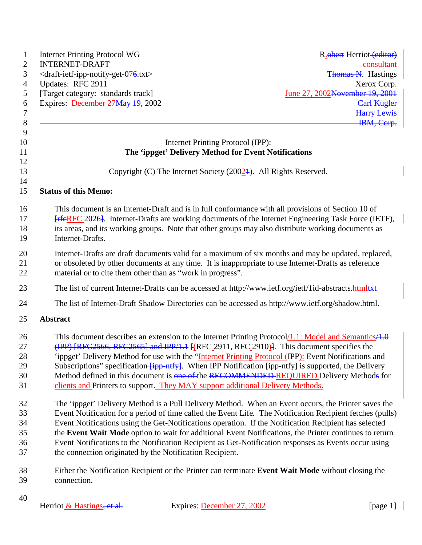| <b>Internet Printing Protocol WG</b>                                                                                                                                                                                                                                                                                                                                                                                                                                                                                                                                                                          | R. obert Herriot (editor)         |
|---------------------------------------------------------------------------------------------------------------------------------------------------------------------------------------------------------------------------------------------------------------------------------------------------------------------------------------------------------------------------------------------------------------------------------------------------------------------------------------------------------------------------------------------------------------------------------------------------------------|-----------------------------------|
| <b>INTERNET-DRAFT</b>                                                                                                                                                                                                                                                                                                                                                                                                                                                                                                                                                                                         | consultant                        |
| <draft-ietf-ipp-notify-get-076.txt><br/>Updates: RFC 2911</draft-ietf-ipp-notify-get-076.txt>                                                                                                                                                                                                                                                                                                                                                                                                                                                                                                                 | Thomas N. Hastings<br>Xerox Corp. |
| [Target category: standards track]                                                                                                                                                                                                                                                                                                                                                                                                                                                                                                                                                                            | June 27, 2002November 19, 2001    |
| Expires: December 27May 19, 2002-                                                                                                                                                                                                                                                                                                                                                                                                                                                                                                                                                                             | <b>Carl Kugler</b>                |
|                                                                                                                                                                                                                                                                                                                                                                                                                                                                                                                                                                                                               | <b>Harry Lewis</b>                |
|                                                                                                                                                                                                                                                                                                                                                                                                                                                                                                                                                                                                               | IBM, Corp.                        |
| Internet Printing Protocol (IPP):                                                                                                                                                                                                                                                                                                                                                                                                                                                                                                                                                                             |                                   |
| The 'ippget' Delivery Method for Event Notifications                                                                                                                                                                                                                                                                                                                                                                                                                                                                                                                                                          |                                   |
| Copyright (C) The Internet Society $(20024)$ . All Rights Reserved.                                                                                                                                                                                                                                                                                                                                                                                                                                                                                                                                           |                                   |
| <b>Status of this Memo:</b>                                                                                                                                                                                                                                                                                                                                                                                                                                                                                                                                                                                   |                                   |
| This document is an Internet-Draft and is in full conformance with all provisions of Section 10 of<br><b>FrieRFC</b> 2026. Internet-Drafts are working documents of the Internet Engineering Task Force (IETF),<br>its areas, and its working groups. Note that other groups may also distribute working documents as<br>Internet-Drafts.                                                                                                                                                                                                                                                                     |                                   |
| Internet-Drafts are draft documents valid for a maximum of six months and may be updated, replaced,<br>or obsoleted by other documents at any time. It is inappropriate to use Internet-Drafts as reference<br>material or to cite them other than as "work in progress".                                                                                                                                                                                                                                                                                                                                     |                                   |
| The list of current Internet-Drafts can be accessed at http://www.ietf.org/ietf/1id-abstracts.html                                                                                                                                                                                                                                                                                                                                                                                                                                                                                                            |                                   |
| The list of Internet-Draft Shadow Directories can be accessed as http://www.ietf.org/shadow.html.                                                                                                                                                                                                                                                                                                                                                                                                                                                                                                             |                                   |
| Abstract                                                                                                                                                                                                                                                                                                                                                                                                                                                                                                                                                                                                      |                                   |
| This document describes an extension to the Internet Printing Protocol/1.1: Model and Semantics/4.0<br>$(\text{IPP})$ [RFC2566, RFC2565] and IPP/1.1 [(RFC 2911, RFC 2910)]. This document specifies the<br>'ippget' Delivery Method for use with the "Internet Printing Protocol (IPP): Event Notifications and<br>Subscriptions" specification <i>[ipp-ntfy]</i> . When IPP Notification [ipp-ntfy] is supported, the Delivery<br>Method defined in this document is one of the RECOMMENDED REQUIRED Delivery Methods for<br>clients and Printers to support. They MAY support additional Delivery Methods. |                                   |
| The 'ippget' Delivery Method is a Pull Delivery Method. When an Event occurs, the Printer saves the<br>Event Notification for a period of time called the Event Life. The Notification Recipient fetches (pulls)<br>Event Notifications using the Get-Notifications operation. If the Notification Recipient has selected<br>the Event Wait Mode option to wait for additional Event Notifications, the Printer continues to return<br>Event Notifications to the Notification Recipient as Get-Notification responses as Events occur using<br>the connection originated by the Notification Recipient.      |                                   |
| Either the Notification Recipient or the Printer can terminate Event Wait Mode without closing the<br>connection.                                                                                                                                                                                                                                                                                                                                                                                                                                                                                             |                                   |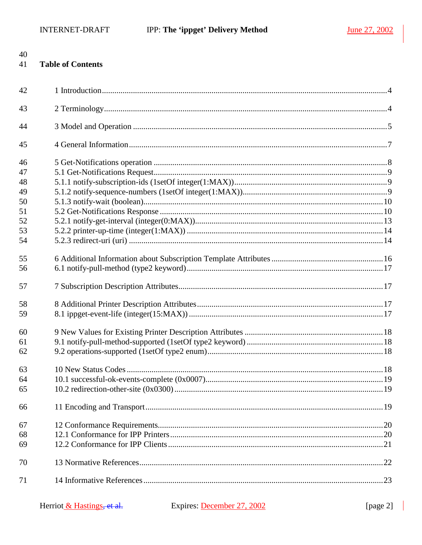| 41 | <b>Table of Contents</b> |  |
|----|--------------------------|--|
| 42 |                          |  |
| 43 |                          |  |
| 44 |                          |  |
| 45 |                          |  |
| 46 |                          |  |
| 47 |                          |  |
| 48 |                          |  |
| 49 |                          |  |
| 50 |                          |  |
| 51 |                          |  |
| 52 |                          |  |
| 53 |                          |  |
| 54 |                          |  |
| 55 |                          |  |
| 56 |                          |  |
| 57 |                          |  |
| 58 |                          |  |
| 59 |                          |  |
| 60 |                          |  |
| 61 |                          |  |
| 62 |                          |  |
| 63 |                          |  |
| 64 |                          |  |
| 65 |                          |  |
| 66 |                          |  |
| 67 |                          |  |
| 68 |                          |  |
| 69 |                          |  |
| 70 |                          |  |
| 71 |                          |  |
|    |                          |  |

 $\mathbb{R}^2$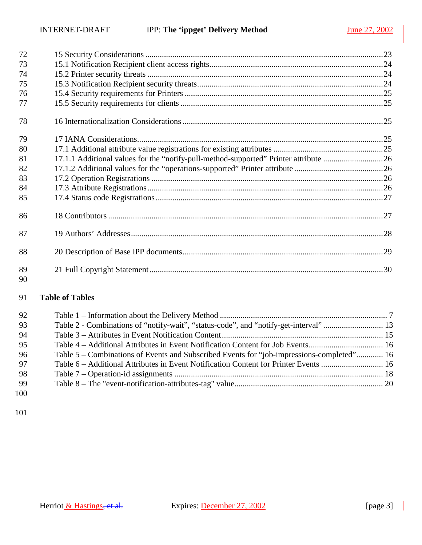| 72       |                                                                                      |  |
|----------|--------------------------------------------------------------------------------------|--|
| 73       |                                                                                      |  |
| 74       |                                                                                      |  |
| 75       |                                                                                      |  |
| 76       |                                                                                      |  |
| 77       |                                                                                      |  |
| 78       |                                                                                      |  |
| 79       |                                                                                      |  |
| 80       |                                                                                      |  |
| 81       | 17.1.1 Additional values for the "notify-pull-method-supported" Printer attribute 26 |  |
| 82       |                                                                                      |  |
| 83       |                                                                                      |  |
| 84       |                                                                                      |  |
| 85       |                                                                                      |  |
| 86       |                                                                                      |  |
| 87       |                                                                                      |  |
| 88       |                                                                                      |  |
| 89<br>90 |                                                                                      |  |

## **Table of Tables**

| 92         |                                                                                           |  |
|------------|-------------------------------------------------------------------------------------------|--|
| 93         |                                                                                           |  |
| 94         |                                                                                           |  |
| 95         |                                                                                           |  |
| 96         | Table 5 – Combinations of Events and Subscribed Events for "job-impressions-completed" 16 |  |
| 97         |                                                                                           |  |
| 98         |                                                                                           |  |
| -99        |                                                                                           |  |
| ነ $\Omega$ |                                                                                           |  |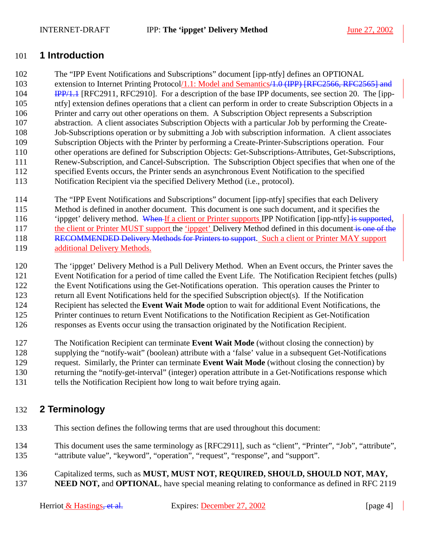### <span id="page-3-0"></span>101 **1 Introduction**

102 The "IPP Event Notifications and Subscriptions" document [ipp-ntfy] defines an OPTIONAL

103 extension to Internet Printing Protocol/1.1: Model and Semantics<del>/1.0 (IPP) [RFC2566, RFC2565] and</del> 104 **IPP/1.1** [RFC2911, RFC2910]. For a description of the base IPP documents, see section [20.](#page-28-0) The [ipp-105 ntfy] extension defines operations that a client can perform in order to create Subscription Objects in a 106 Printer and carry out other operations on them. A Subscription Object represents a Subscription 107 abstraction. A client associates Subscription Objects with a particular Job by performing the Create-108 Job-Subscriptions operation or by submitting a Job with subscription information. A client associates 109 Subscription Objects with the Printer by performing a Create-Printer-Subscriptions operation. Four 110 other operations are defined for Subscription Objects: Get-Subscriptions-Attributes, Get-Subscriptions, 111 Renew-Subscription, and Cancel-Subscription. The Subscription Object specifies that when one of the 112 specified Events occurs, the Printer sends an asynchronous Event Notification to the specified 113 Notification Recipient via the specified Delivery Method (i.e., protocol).

- 114 The "IPP Event Notifications and Subscriptions" document [ipp-ntfy] specifies that each Delivery 115 Method is defined in another document. This document is one such document, and it specifies the 116 'ippget' delivery method. When If a client or Printer supports IPP Notification [ipp-ntfy] is supported, 117 the client or Printer MUST support the 'ippget' Delivery Method defined in this document is one of the 118 RECOMMENDED Delivery Methods for Printers to support. Such a client or Printer MAY support 119 additional Delivery Methods.
- 120 The 'ippget' Delivery Method is a Pull Delivery Method. When an Event occurs, the Printer saves the 121 Event Notification for a period of time called the Event Life. The Notification Recipient fetches (pulls) 122 the Event Notifications using the Get-Notifications operation. This operation causes the Printer to 123 return all Event Notifications held for the specified Subscription object(s). If the Notification 124 Recipient has selected the **Event Wait Mode** option to wait for additional Event Notifications, the 125 Printer continues to return Event Notifications to the Notification Recipient as Get-Notification
- 126 responses as Events occur using the transaction originated by the Notification Recipient.
- 127 The Notification Recipient can terminate **Event Wait Mode** (without closing the connection) by
- 128 supplying the "notify-wait" (boolean) attribute with a 'false' value in a subsequent Get-Notifications
- 129 request. Similarly, the Printer can terminate **Event Wait Mode** (without closing the connection) by
- 130 returning the "notify-get-interval" (integer) operation attribute in a Get-Notifications response which
- 131 tells the Notification Recipient how long to wait before trying again.

## 132 **2 Terminology**

- 133 This section defines the following terms that are used throughout this document:
- 134 This document uses the same terminology as [RFC2911], such as "client", "Printer", "Job", "attribute", 135 "attribute value", "keyword", "operation", "request", "response", and "support".
- 136 Capitalized terms, such as **MUST, MUST NOT, REQUIRED, SHOULD, SHOULD NOT, MAY,**
- 137 **NEED NOT, and OPTIONAL**, have special meaning relating to conformance as defined in RFC 2119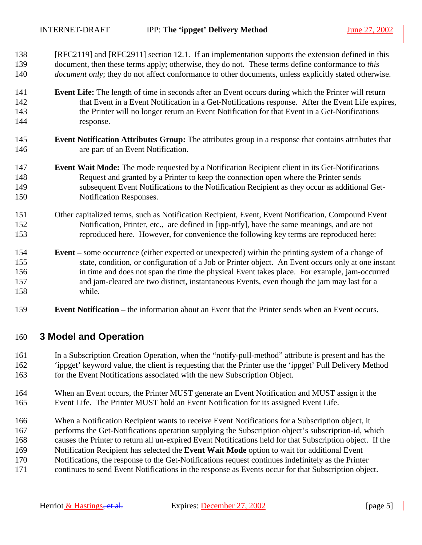- <span id="page-4-0"></span>138 [RFC2119] and [RFC2911] section 12.1. If an implementation supports the extension defined in this 139 document, then these terms apply; otherwise, they do not. These terms define conformance to *this*  140 *document only*; they do not affect conformance to other documents, unless explicitly stated otherwise.
- 141 **Event Life:** The length of time in seconds after an Event occurs during which the Printer will return 142 that Event in a Event Notification in a Get-Notifications response. After the Event Life expires, 143 the Printer will no longer return an Event Notification for that Event in a Get-Notifications 144 response.
- 145 **Event Notification Attributes Group:** The attributes group in a response that contains attributes that 146 are part of an Event Notification.
- 147 **Event Wait Mode:** The mode requested by a Notification Recipient client in its Get-Notifications 148 Request and granted by a Printer to keep the connection open where the Printer sends 149 subsequent Event Notifications to the Notification Recipient as they occur as additional Get-150 Notification Responses.
- 151 Other capitalized terms, such as Notification Recipient, Event, Event Notification, Compound Event 152 Notification, Printer, etc., are defined in [ipp-ntfy], have the same meanings, and are not 153 reproduced here. However, for convenience the following key terms are reproduced here:
- 154 **Event** some occurrence (either expected or unexpected) within the printing system of a change of 155 state, condition, or configuration of a Job or Printer object. An Event occurs only at one instant 156 in time and does not span the time the physical Event takes place. For example, jam-occurred 157 and jam-cleared are two distinct, instantaneous Events, even though the jam may last for a 158 while.
- 159 **Event Notification** the information about an Event that the Printer sends when an Event occurs.

### 160 **3 Model and Operation**

- 161 In a Subscription Creation Operation, when the "notify-pull-method" attribute is present and has the 162 'ippget' keyword value, the client is requesting that the Printer use the 'ippget' Pull Delivery Method 163 for the Event Notifications associated with the new Subscription Object.
- 164 When an Event occurs, the Printer MUST generate an Event Notification and MUST assign it the 165 Event Life. The Printer MUST hold an Event Notification for its assigned Event Life.
- 166 When a Notification Recipient wants to receive Event Notifications for a Subscription object, it
- 167 performs the Get-Notifications operation supplying the Subscription object's subscription-id, which
- 168 causes the Printer to return all un-expired Event Notifications held for that Subscription object. If the
- 169 Notification Recipient has selected the **Event Wait Mode** option to wait for additional Event
- 170 Notifications, the response to the Get-Notifications request continues indefinitely as the Printer
- 171 continues to send Event Notifications in the response as Events occur for that Subscription object.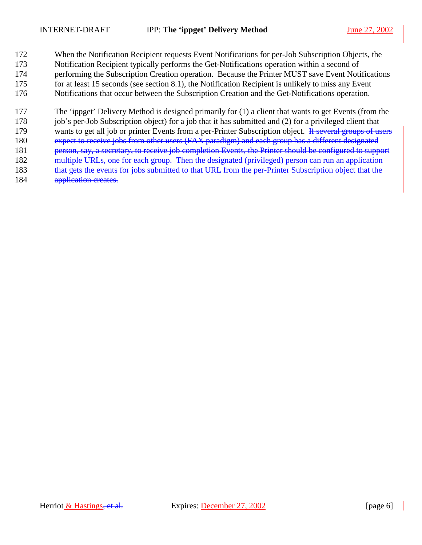172 When the Notification Recipient requests Event Notifications for per-Job Subscription Objects, the 173 Notification Recipient typically performs the Get-Notifications operation within a second of 174 performing the Subscription Creation operation. Because the Printer MUST save Event Notifications 175 for at least 15 seconds (see section [8.1\)](#page-16-0), the Notification Recipient is unlikely to miss any Event 176 Notifications that occur between the Subscription Creation and the Get-Notifications operation.

177 The 'ippget' Delivery Method is designed primarily for (1) a client that wants to get Events (from the

178 job's per-Job Subscription object) for a job that it has submitted and (2) for a privileged client that 179 wants to get all job or printer Events from a per-Printer Subscription object. If several groups of users

- 180 expect to receive jobs from other users (FAX paradigm) and each group has a different designated
- 181 person, say, a secretary, to receive job completion Events, the Printer should be configured to support
- 182 multiple URLs, one for each group. Then the designated (privileged) person can run an application
- 183 that gets the events for jobs submitted to that URL from the per-Printer Subscription object that the 184 application creates.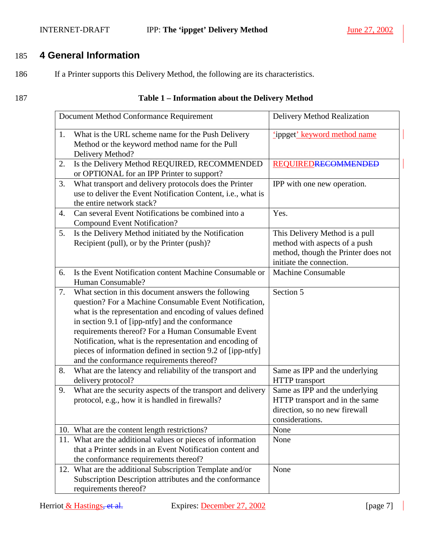#### <span id="page-6-0"></span>INTERNET-DRAFT IPP: **The 'ippget' Delivery Method** June 27, 2002

## 185 **4 General Information**

186 If a Printer supports this Delivery Method, the following are its characteristics.

#### 187 **Table 1 – Information about the Delivery Method**

|    | Document Method Conformance Requirement                                                                                                                                                                                                                                                                                                                                                                                                                     | Delivery Method Realization                                                                                                        |
|----|-------------------------------------------------------------------------------------------------------------------------------------------------------------------------------------------------------------------------------------------------------------------------------------------------------------------------------------------------------------------------------------------------------------------------------------------------------------|------------------------------------------------------------------------------------------------------------------------------------|
| 1. | What is the URL scheme name for the Push Delivery<br>Method or the keyword method name for the Pull<br>Delivery Method?                                                                                                                                                                                                                                                                                                                                     | ippget' keyword method name                                                                                                        |
| 2. | Is the Delivery Method REQUIRED, RECOMMENDED<br>or OPTIONAL for an IPP Printer to support?                                                                                                                                                                                                                                                                                                                                                                  | <b>REQUIREDRECOMMENDED</b>                                                                                                         |
| 3. | What transport and delivery protocols does the Printer<br>use to deliver the Event Notification Content, i.e., what is<br>the entire network stack?                                                                                                                                                                                                                                                                                                         | IPP with one new operation.                                                                                                        |
| 4. | Can several Event Notifications be combined into a<br><b>Compound Event Notification?</b>                                                                                                                                                                                                                                                                                                                                                                   | Yes.                                                                                                                               |
| 5. | Is the Delivery Method initiated by the Notification<br>Recipient (pull), or by the Printer (push)?                                                                                                                                                                                                                                                                                                                                                         | This Delivery Method is a pull<br>method with aspects of a push<br>method, though the Printer does not<br>initiate the connection. |
| 6. | Is the Event Notification content Machine Consumable or<br>Human Consumable?                                                                                                                                                                                                                                                                                                                                                                                | <b>Machine Consumable</b>                                                                                                          |
| 7. | What section in this document answers the following<br>question? For a Machine Consumable Event Notification,<br>what is the representation and encoding of values defined<br>in section 9.1 of [ipp-ntfy] and the conformance<br>requirements thereof? For a Human Consumable Event<br>Notification, what is the representation and encoding of<br>pieces of information defined in section 9.2 of [ipp-ntfy]<br>and the conformance requirements thereof? | Section 5                                                                                                                          |
| 8. | What are the latency and reliability of the transport and<br>delivery protocol?                                                                                                                                                                                                                                                                                                                                                                             | Same as IPP and the underlying<br><b>HTTP</b> transport                                                                            |
| 9. | What are the security aspects of the transport and delivery<br>protocol, e.g., how it is handled in firewalls?                                                                                                                                                                                                                                                                                                                                              | Same as IPP and the underlying<br>HTTP transport and in the same<br>direction, so no new firewall<br>considerations.               |
|    | 10. What are the content length restrictions?                                                                                                                                                                                                                                                                                                                                                                                                               | None                                                                                                                               |
|    | 11. What are the additional values or pieces of information<br>that a Printer sends in an Event Notification content and<br>the conformance requirements thereof?                                                                                                                                                                                                                                                                                           | None                                                                                                                               |
|    | 12. What are the additional Subscription Template and/or<br>Subscription Description attributes and the conformance<br>requirements thereof?                                                                                                                                                                                                                                                                                                                | None                                                                                                                               |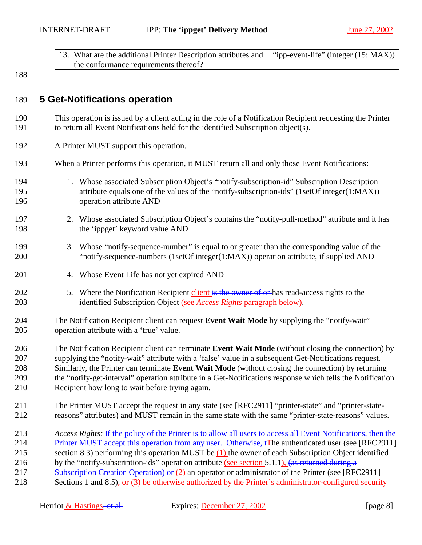<span id="page-7-0"></span>

| 13. What are the additional Printer Description attributes and $\mid$ "ipp-event-life" (integer (15: MAX)) |  |
|------------------------------------------------------------------------------------------------------------|--|
| the conformance requirements thereof?                                                                      |  |

## 189 **5 Get-Notifications operation**

- 190 This operation is issued by a client acting in the role of a Notification Recipient requesting the Printer 191 to return all Event Notifications held for the identified Subscription object(s).
- 192 A Printer MUST support this operation.
- 193 When a Printer performs this operation, it MUST return all and only those Event Notifications:
- 194 1. Whose associated Subscription Object's "notify-subscription-id" Subscription Description 195 attribute equals one of the values of the "notify-subscription-ids" (1setOf integer(1:MAX)) 196 operation attribute AND
- 197 2. Whose associated Subscription Object's contains the "notify-pull-method" attribute and it has 198 the 'ippget' keyword value AND
- 199 3. Whose "notify-sequence-number" is equal to or greater than the corresponding value of the 200 "notify-sequence-numbers (1setOf integer(1:MAX)) operation attribute, if supplied AND
- 201 4. Whose Event Life has not yet expired AND
- 202 5. Where the Notification Recipient client is the owner of or has read-access rights to the 203 identified Subscription Object (see *Access Rights* paragraph below).
- 204 The Notification Recipient client can request **Event Wait Mode** by supplying the "notify-wait" 205 operation attribute with a 'true' value.
- 206 The Notification Recipient client can terminate **Event Wait Mode** (without closing the connection) by 207 supplying the "notify-wait" attribute with a 'false' value in a subsequent Get-Notifications request. 208 Similarly, the Printer can terminate **Event Wait Mode** (without closing the connection) by returning 209 the "notify-get-interval" operation attribute in a Get-Notifications response which tells the Notification 210 Recipient how long to wait before trying again.
- 211 The Printer MUST accept the request in any state (see [RFC2911] "printer-state" and "printer-state-212 reasons" attributes) and MUST remain in the same state with the same "printer-state-reasons" values.
- 213 *Access Rights:* If the policy of the Printer is to allow all users to access all Event Notifications, then the
- 214 Printer MUST accept this operation from any user. Otherwise, tThe authenticated user (see [RFC2911]
- 215 section 8.3) performing this operation MUST be (1) the owner of each Subscription Object identified
- 216 by the "notify-subscription-ids" operation attribute (see section [5.1.1\)](#page-8-0), (as returned during a
- 217 Subscription Creation Operation) or (2) an operator or administrator of the Printer (see [RFC2911]
- 218 Sections 1 and 8.5), or (3) be otherwise authorized by the Printer's administrator-configured security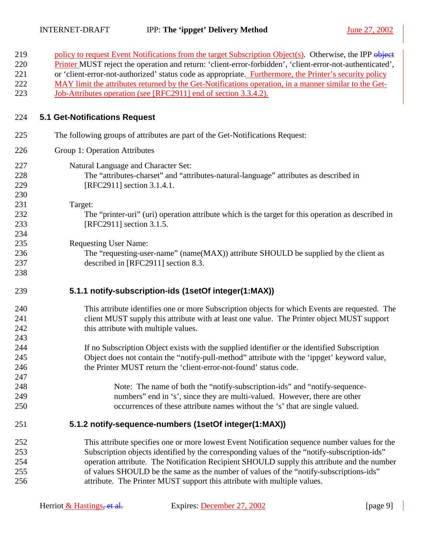<span id="page-8-0"></span>

| policy to request Event Notifications from the target Subscription Object(s). Otherwise, the IPP object<br>Printer MUST reject the operation and return: 'client-error-forbidden', 'client-error-not-authenticated',<br>220<br>or 'client-error-not-authorized' status code as appropriate. Furthermore, the Printer's security policy<br>221<br>222<br>MAY limit the attributes returned by the Get-Notifications operation, in a manner similar to the Get-<br>223<br><u>Job-Attributes operation (see [RFC2911] end of section 3.3.4.2).</u><br><b>5.1 Get-Notifications Request</b><br>224<br>225<br>The following groups of attributes are part of the Get-Notifications Request:<br>226<br>Group 1: Operation Attributes<br>227<br>Natural Language and Character Set:<br>228<br>The "attributes-charset" and "attributes-natural-language" attributes as described in<br>229<br>[RFC2911] section 3.1.4.1.<br>230<br>231<br>Target:<br>232<br>The "printer-uri" (uri) operation attribute which is the target for this operation as described in<br>233<br>[RFC2911] section 3.1.5.<br>234<br>235<br><b>Requesting User Name:</b><br>236<br>The "requesting-user-name" (name(MAX)) attribute SHOULD be supplied by the client as<br>237<br>described in [RFC2911] section 8.3.<br>238<br>5.1.1 notify-subscription-ids (1setOf integer(1:MAX))<br>239 |
|--------------------------------------------------------------------------------------------------------------------------------------------------------------------------------------------------------------------------------------------------------------------------------------------------------------------------------------------------------------------------------------------------------------------------------------------------------------------------------------------------------------------------------------------------------------------------------------------------------------------------------------------------------------------------------------------------------------------------------------------------------------------------------------------------------------------------------------------------------------------------------------------------------------------------------------------------------------------------------------------------------------------------------------------------------------------------------------------------------------------------------------------------------------------------------------------------------------------------------------------------------------------------------------------------------------------------------------------------------------|
|                                                                                                                                                                                                                                                                                                                                                                                                                                                                                                                                                                                                                                                                                                                                                                                                                                                                                                                                                                                                                                                                                                                                                                                                                                                                                                                                                              |
|                                                                                                                                                                                                                                                                                                                                                                                                                                                                                                                                                                                                                                                                                                                                                                                                                                                                                                                                                                                                                                                                                                                                                                                                                                                                                                                                                              |
|                                                                                                                                                                                                                                                                                                                                                                                                                                                                                                                                                                                                                                                                                                                                                                                                                                                                                                                                                                                                                                                                                                                                                                                                                                                                                                                                                              |
|                                                                                                                                                                                                                                                                                                                                                                                                                                                                                                                                                                                                                                                                                                                                                                                                                                                                                                                                                                                                                                                                                                                                                                                                                                                                                                                                                              |
|                                                                                                                                                                                                                                                                                                                                                                                                                                                                                                                                                                                                                                                                                                                                                                                                                                                                                                                                                                                                                                                                                                                                                                                                                                                                                                                                                              |
|                                                                                                                                                                                                                                                                                                                                                                                                                                                                                                                                                                                                                                                                                                                                                                                                                                                                                                                                                                                                                                                                                                                                                                                                                                                                                                                                                              |
|                                                                                                                                                                                                                                                                                                                                                                                                                                                                                                                                                                                                                                                                                                                                                                                                                                                                                                                                                                                                                                                                                                                                                                                                                                                                                                                                                              |
|                                                                                                                                                                                                                                                                                                                                                                                                                                                                                                                                                                                                                                                                                                                                                                                                                                                                                                                                                                                                                                                                                                                                                                                                                                                                                                                                                              |
|                                                                                                                                                                                                                                                                                                                                                                                                                                                                                                                                                                                                                                                                                                                                                                                                                                                                                                                                                                                                                                                                                                                                                                                                                                                                                                                                                              |
|                                                                                                                                                                                                                                                                                                                                                                                                                                                                                                                                                                                                                                                                                                                                                                                                                                                                                                                                                                                                                                                                                                                                                                                                                                                                                                                                                              |
|                                                                                                                                                                                                                                                                                                                                                                                                                                                                                                                                                                                                                                                                                                                                                                                                                                                                                                                                                                                                                                                                                                                                                                                                                                                                                                                                                              |
|                                                                                                                                                                                                                                                                                                                                                                                                                                                                                                                                                                                                                                                                                                                                                                                                                                                                                                                                                                                                                                                                                                                                                                                                                                                                                                                                                              |
|                                                                                                                                                                                                                                                                                                                                                                                                                                                                                                                                                                                                                                                                                                                                                                                                                                                                                                                                                                                                                                                                                                                                                                                                                                                                                                                                                              |
|                                                                                                                                                                                                                                                                                                                                                                                                                                                                                                                                                                                                                                                                                                                                                                                                                                                                                                                                                                                                                                                                                                                                                                                                                                                                                                                                                              |
|                                                                                                                                                                                                                                                                                                                                                                                                                                                                                                                                                                                                                                                                                                                                                                                                                                                                                                                                                                                                                                                                                                                                                                                                                                                                                                                                                              |
|                                                                                                                                                                                                                                                                                                                                                                                                                                                                                                                                                                                                                                                                                                                                                                                                                                                                                                                                                                                                                                                                                                                                                                                                                                                                                                                                                              |
|                                                                                                                                                                                                                                                                                                                                                                                                                                                                                                                                                                                                                                                                                                                                                                                                                                                                                                                                                                                                                                                                                                                                                                                                                                                                                                                                                              |
|                                                                                                                                                                                                                                                                                                                                                                                                                                                                                                                                                                                                                                                                                                                                                                                                                                                                                                                                                                                                                                                                                                                                                                                                                                                                                                                                                              |
|                                                                                                                                                                                                                                                                                                                                                                                                                                                                                                                                                                                                                                                                                                                                                                                                                                                                                                                                                                                                                                                                                                                                                                                                                                                                                                                                                              |
|                                                                                                                                                                                                                                                                                                                                                                                                                                                                                                                                                                                                                                                                                                                                                                                                                                                                                                                                                                                                                                                                                                                                                                                                                                                                                                                                                              |
| This attribute identifies one or more Subscription objects for which Events are requested. The<br>240                                                                                                                                                                                                                                                                                                                                                                                                                                                                                                                                                                                                                                                                                                                                                                                                                                                                                                                                                                                                                                                                                                                                                                                                                                                        |
| client MUST supply this attribute with at least one value. The Printer object MUST support<br>241                                                                                                                                                                                                                                                                                                                                                                                                                                                                                                                                                                                                                                                                                                                                                                                                                                                                                                                                                                                                                                                                                                                                                                                                                                                            |
| 242<br>this attribute with multiple values.                                                                                                                                                                                                                                                                                                                                                                                                                                                                                                                                                                                                                                                                                                                                                                                                                                                                                                                                                                                                                                                                                                                                                                                                                                                                                                                  |
| 243                                                                                                                                                                                                                                                                                                                                                                                                                                                                                                                                                                                                                                                                                                                                                                                                                                                                                                                                                                                                                                                                                                                                                                                                                                                                                                                                                          |
| 244<br>If no Subscription Object exists with the supplied identifier or the identified Subscription                                                                                                                                                                                                                                                                                                                                                                                                                                                                                                                                                                                                                                                                                                                                                                                                                                                                                                                                                                                                                                                                                                                                                                                                                                                          |
| 245<br>Object does not contain the "notify-pull-method" attribute with the 'ippget' keyword value,                                                                                                                                                                                                                                                                                                                                                                                                                                                                                                                                                                                                                                                                                                                                                                                                                                                                                                                                                                                                                                                                                                                                                                                                                                                           |
| the Printer MUST return the 'client-error-not-found' status code.<br>246                                                                                                                                                                                                                                                                                                                                                                                                                                                                                                                                                                                                                                                                                                                                                                                                                                                                                                                                                                                                                                                                                                                                                                                                                                                                                     |
| 247                                                                                                                                                                                                                                                                                                                                                                                                                                                                                                                                                                                                                                                                                                                                                                                                                                                                                                                                                                                                                                                                                                                                                                                                                                                                                                                                                          |
| 248<br>Note: The name of both the "notify-subscription-ids" and "notify-sequence-                                                                                                                                                                                                                                                                                                                                                                                                                                                                                                                                                                                                                                                                                                                                                                                                                                                                                                                                                                                                                                                                                                                                                                                                                                                                            |
| numbers" end in 's', since they are multi-valued. However, there are other<br>249                                                                                                                                                                                                                                                                                                                                                                                                                                                                                                                                                                                                                                                                                                                                                                                                                                                                                                                                                                                                                                                                                                                                                                                                                                                                            |
| 250<br>occurrences of these attribute names without the 's' that are single valued.                                                                                                                                                                                                                                                                                                                                                                                                                                                                                                                                                                                                                                                                                                                                                                                                                                                                                                                                                                                                                                                                                                                                                                                                                                                                          |
| 5.1.2 notify-sequence-numbers (1setOf integer(1:MAX))<br>251                                                                                                                                                                                                                                                                                                                                                                                                                                                                                                                                                                                                                                                                                                                                                                                                                                                                                                                                                                                                                                                                                                                                                                                                                                                                                                 |
| This attribute specifies one or more lowest Event Notification sequence number values for the<br>252                                                                                                                                                                                                                                                                                                                                                                                                                                                                                                                                                                                                                                                                                                                                                                                                                                                                                                                                                                                                                                                                                                                                                                                                                                                         |
| 253<br>Subscription objects identified by the corresponding values of the "notify-subscription-ids"                                                                                                                                                                                                                                                                                                                                                                                                                                                                                                                                                                                                                                                                                                                                                                                                                                                                                                                                                                                                                                                                                                                                                                                                                                                          |
| 254<br>operation attribute. The Notification Recipient SHOULD supply this attribute and the number                                                                                                                                                                                                                                                                                                                                                                                                                                                                                                                                                                                                                                                                                                                                                                                                                                                                                                                                                                                                                                                                                                                                                                                                                                                           |
| of values SHOULD be the same as the number of values of the "notify-subscriptions-ids"<br>255                                                                                                                                                                                                                                                                                                                                                                                                                                                                                                                                                                                                                                                                                                                                                                                                                                                                                                                                                                                                                                                                                                                                                                                                                                                                |
| 256<br>attribute. The Printer MUST support this attribute with multiple values.                                                                                                                                                                                                                                                                                                                                                                                                                                                                                                                                                                                                                                                                                                                                                                                                                                                                                                                                                                                                                                                                                                                                                                                                                                                                              |

| Herriot & Hastings, et al. | Expires: December 27, 2002 | [page 9] |
|----------------------------|----------------------------|----------|
|----------------------------|----------------------------|----------|

 $\overline{\phantom{0}}$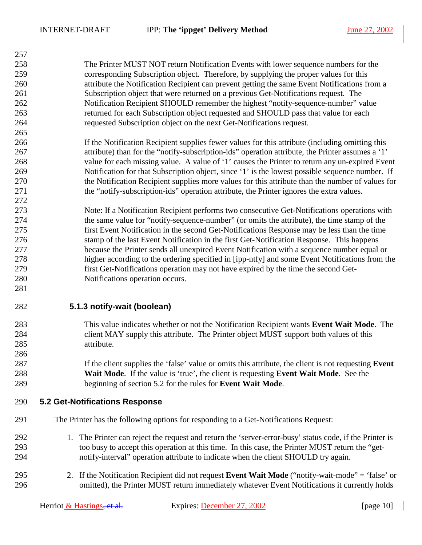265

272

281

286

<span id="page-9-0"></span>258 The Printer MUST NOT return Notification Events with lower sequence numbers for the 259 corresponding Subscription object. Therefore, by supplying the proper values for this 260 attribute the Notification Recipient can prevent getting the same Event Notifications from a 261 Subscription object that were returned on a previous Get-Notifications request. The 262 Notification Recipient SHOULD remember the highest "notify-sequence-number" value 263 returned for each Subscription object requested and SHOULD pass that value for each 264 requested Subscription object on the next Get-Notifications request.

266 If the Notification Recipient supplies fewer values for this attribute (including omitting this 267 attribute) than for the "notify-subscription-ids" operation attribute, the Printer assumes a '1' 268 value for each missing value. A value of '1' causes the Printer to return any un-expired Event 269 Notification for that Subscription object, since '1' is the lowest possible sequence number. If 270 the Notification Recipient supplies more values for this attribute than the number of values for 271 the "notify-subscription-ids" operation attribute, the Printer ignores the extra values.

273 Note: If a Notification Recipient performs two consecutive Get-Notifications operations with 274 the same value for "notify-sequence-number" (or omits the attribute), the time stamp of the 275 first Event Notification in the second Get-Notifications Response may be less than the time 276 stamp of the last Event Notification in the first Get-Notification Response. This happens 277 because the Printer sends all unexpired Event Notification with a sequence number equal or 278 higher according to the ordering specified in [ipp-ntfy] and some Event Notifications from the 279 first Get-Notifications operation may not have expired by the time the second Get-280 Notifications operation occurs.

282 **5.1.3 notify-wait (boolean)** 

- 283 This value indicates whether or not the Notification Recipient wants **Event Wait Mode**. The 284 client MAY supply this attribute. The Printer object MUST support both values of this 285 attribute.
- 287 If the client supplies the 'false' value or omits this attribute, the client is not requesting **Event**  288 **Wait Mode**. If the value is 'true', the client is requesting **Event Wait Mode**. See the 289 beginning of section 5.2 for the rules for **Event Wait Mode**.

#### 290 **5.2 Get-Notifications Response**

- 291 The Printer has the following options for responding to a Get-Notifications Request:
- 292 1. The Printer can reject the request and return the 'server-error-busy' status code, if the Printer is 293 too busy to accept this operation at this time. In this case, the Printer MUST return the "get-294 notify-interval" operation attribute to indicate when the client SHOULD try again.
- 295 2. If the Notification Recipient did not request **Event Wait Mode** ("notify-wait-mode" = 'false' or 296 omitted), the Printer MUST return immediately whatever Event Notifications it currently holds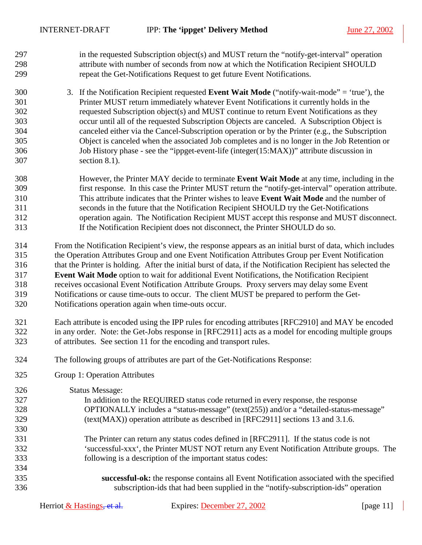- 297 in the requested Subscription object(s) and MUST return the "notify-get-interval" operation 298 attribute with number of seconds from now at which the Notification Recipient SHOULD 299 repeat the Get-Notifications Request to get future Event Notifications.
- 300 3. If the Notification Recipient requested **Event Wait Mode** ("notify-wait-mode" = 'true'), the 301 Printer MUST return immediately whatever Event Notifications it currently holds in the 302 requested Subscription object(s) and MUST continue to return Event Notifications as they 303 occur until all of the requested Subscription Objects are canceled. A Subscription Object is 304 canceled either via the Cancel-Subscription operation or by the Printer (e.g., the Subscription 305 Object is canceled when the associated Job completes and is no longer in the Job Retention or 306 Job History phase - see the "[ippget-event-life \(integer\(15:MAX\)\)"](#page-16-0) attribute discussion in 307 section [8.1\)](#page-16-0).
- 308 However, the Printer MAY decide to terminate **Event Wait Mode** at any time, including in the 309 first response. In this case the Printer MUST return the "notify-get-interval" operation attribute. 310 This attribute indicates that the Printer wishes to leave **Event Wait Mode** and the number of 311 seconds in the future that the Notification Recipient SHOULD try the Get-Notifications 312 operation again. The Notification Recipient MUST accept this response and MUST disconnect. 313 If the Notification Recipient does not disconnect, the Printer SHOULD do so.
- 314 From the Notification Recipient's view, the response appears as an initial burst of data, which includes 315 the Operation Attributes Group and one Event Notification Attributes Group per Event Notification 316 that the Printer is holding. After the initial burst of data, if the Notification Recipient has selected the 317 **Event Wait Mode** option to wait for additional Event Notifications, the Notification Recipient 318 receives occasional Event Notification Attribute Groups. Proxy servers may delay some Event 319 Notifications or cause time-outs to occur. The client MUST be prepared to perform the Get-320 Notifications operation again when time-outs occur.
- 321 Each attribute is encoded using the IPP rules for encoding attributes [RFC2910] and MAY be encoded 322 in any order. Note: the Get-Jobs response in [RFC2911] acts as a model for encoding multiple groups 323 of attributes. See section [11](#page-18-0) for the encoding and transport rules.
- 324 The following groups of attributes are part of the Get-Notifications Response:
- 325 Group 1: Operation Attributes

326 Status Message:

330

334

- 327 In addition to the REQUIRED status code returned in every response, the response 328 OPTIONALLY includes a "status-message" (text(255)) and/or a "detailed-status-message" 329 (text(MAX)) operation attribute as described in [RFC2911] sections 13 and 3.1.6.
- 331 The Printer can return any status codes defined in [RFC2911]. If the status code is not 332 'successful-xxx', the Printer MUST NOT return any Event Notification Attribute groups. The 333 following is a description of the important status codes:
- 335 **successful-ok:** the response contains all Event Notification associated with the specified 336 subscription-ids that had been supplied in the "notify-subscription-ids" operation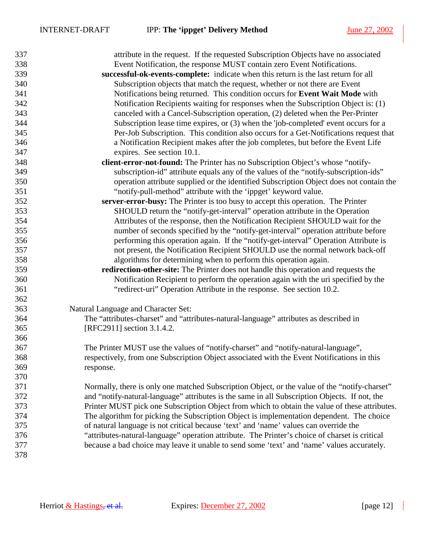| 337 | attribute in the request. If the requested Subscription Objects have no associated             |
|-----|------------------------------------------------------------------------------------------------|
| 338 | Event Notification, the response MUST contain zero Event Notifications.                        |
| 339 | successful-ok-events-complete: indicate when this return is the last return for all            |
| 340 | Subscription objects that match the request, whether or not there are Event                    |
| 341 | Notifications being returned. This condition occurs for Event Wait Mode with                   |
| 342 | Notification Recipients waiting for responses when the Subscription Object is: (1)             |
| 343 | canceled with a Cancel-Subscription operation, (2) deleted when the Per-Printer                |
| 344 | Subscription lease time expires, or (3) when the 'job-completed' event occurs for a            |
| 345 | Per-Job Subscription. This condition also occurs for a Get-Notifications request that          |
| 346 | a Notification Recipient makes after the job completes, but before the Event Life              |
| 347 | expires. See section 10.1.                                                                     |
| 348 | client-error-not-found: The Printer has no Subscription Object's whose "notify-                |
| 349 | subscription-id" attribute equals any of the values of the "notify-subscription-ids"           |
| 350 | operation attribute supplied or the identified Subscription Object does not contain the        |
| 351 | "notify-pull-method" attribute with the 'ippget' keyword value.                                |
| 352 | server-error-busy: The Printer is too busy to accept this operation. The Printer               |
| 353 | SHOULD return the "notify-get-interval" operation attribute in the Operation                   |
| 354 | Attributes of the response, then the Notification Recipient SHOULD wait for the                |
| 355 | number of seconds specified by the "notify-get-interval" operation attribute before            |
| 356 | performing this operation again. If the "notify-get-interval" Operation Attribute is           |
| 357 | not present, the Notification Recipient SHOULD use the normal network back-off                 |
| 358 | algorithms for determining when to perform this operation again.                               |
| 359 | redirection-other-site: The Printer does not handle this operation and requests the            |
| 360 | Notification Recipient to perform the operation again with the uri specified by the            |
| 361 | "redirect-uri" Operation Attribute in the response. See section 10.2.                          |
| 362 |                                                                                                |
| 363 | Natural Language and Character Set:                                                            |
| 364 | The "attributes-charset" and "attributes-natural-language" attributes as described in          |
| 365 | [RFC2911] section 3.1.4.2.                                                                     |
| 366 |                                                                                                |
| 367 | The Printer MUST use the values of "notify-charset" and "notify-natural-language",             |
| 368 | respectively, from one Subscription Object associated with the Event Notifications in this     |
| 369 | response.                                                                                      |
| 370 |                                                                                                |
| 371 | Normally, there is only one matched Subscription Object, or the value of the "notify-charset"  |
| 372 | and "notify-natural-language" attributes is the same in all Subscription Objects. If not, the  |
| 373 | Printer MUST pick one Subscription Object from which to obtain the value of these attributes.  |
| 374 | The algorithm for picking the Subscription Object is implementation dependent. The choice      |
| 375 | of natural language is not critical because 'text' and 'name' values can override the          |
| 376 | "attributes-natural-language" operation attribute. The Printer's choice of charset is critical |
| 377 | because a bad choice may leave it unable to send some 'text' and 'name' values accurately.     |
| 378 |                                                                                                |
|     |                                                                                                |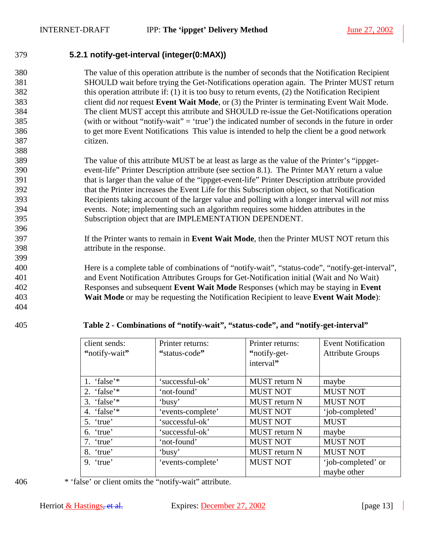<span id="page-12-0"></span>

### 379 **5.2.1 notify-get-interval (integer(0:MAX))**

380 The value of this operation attribute is the number of seconds that the Notification Recipient 381 SHOULD wait before trying the Get-Notifications operation again. The Printer MUST return 382 this operation attribute if: (1) it is too busy to return events, (2) the Notification Recipient 383 client did *not* request **Event Wait Mode**, or (3) the Printer is terminating Event Wait Mode. 384 The client MUST accept this attribute and SHOULD re-issue the Get-Notifications operation 385 (with or without "notify-wait" = 'true') the indicated number of seconds in the future in order 386 to get more Event Notifications This value is intended to help the client be a good network 387 citizen. 388

389 The value of this attribute MUST be at least as large as the value of the Printer's "ippget-390 event-life" Printer Description attribute (see section [8.1\)](#page-16-0). The Printer MAY return a value 391 that is larger than the value of the "ippget-event-life" Printer Description attribute provided 392 that the Printer increases the Event Life for this Subscription object, so that Notification 393 Recipients taking account of the larger value and polling with a longer interval will *not* miss 394 events. Note; implementing such an algorithm requires some hidden attributes in the 395 Subscription object that are IMPLEMENTATION DEPENDENT.

- 397 If the Printer wants to remain in **Event Wait Mode**, then the Printer MUST NOT return this 398 attribute in the response.
- 400 Here is a complete table of combinations of "notify-wait", "status-code", "notify-get-interval", 401 and Event Notification Attributes Groups for Get-Notification initial (Wait and No Wait) 402 Responses and subsequent **Event Wait Mode** Responses (which may be staying in **Event**  403 **Wait Mode** or may be requesting the Notification Recipient to leave **Event Wait Mode**):

404

396

399

#### 405 **Table 2 - Combinations of "notify-wait", "status-code", and "notify-get-interval"**

| client sends:  | Printer returns:  | Printer returns:     | <b>Event Notification</b> |
|----------------|-------------------|----------------------|---------------------------|
| "notify-wait"  | "status-code"     | "notify-get-         | <b>Attribute Groups</b>   |
|                |                   | interval"            |                           |
|                |                   |                      |                           |
| 1. 'false'*    | 'successful-ok'   | <b>MUST</b> return N | maybe                     |
| 2. 'false'*    | 'not-found'       | <b>MUST NOT</b>      | <b>MUST NOT</b>           |
| 3. 'false' $*$ | 'busy'            | <b>MUST</b> return N | <b>MUST NOT</b>           |
| 4. 'false'*    | 'events-complete' | <b>MUST NOT</b>      | 'job-completed'           |
| 5. 'true'      | 'successful-ok'   | <b>MUST NOT</b>      | <b>MUST</b>               |
| 6. 'true'      | 'successful-ok'   | <b>MUST</b> return N | maybe                     |
| 7. 'true'      | 'not-found'       | <b>MUST NOT</b>      | <b>MUST NOT</b>           |
| 8. 'true'      | 'busy'            | MUST return N        | <b>MUST NOT</b>           |
| $9.$ 'true'    | 'events-complete' | <b>MUST NOT</b>      | 'job-completed' or        |
|                |                   |                      | maybe other               |

406 \* 'false' or client omits the "notify-wait" attribute.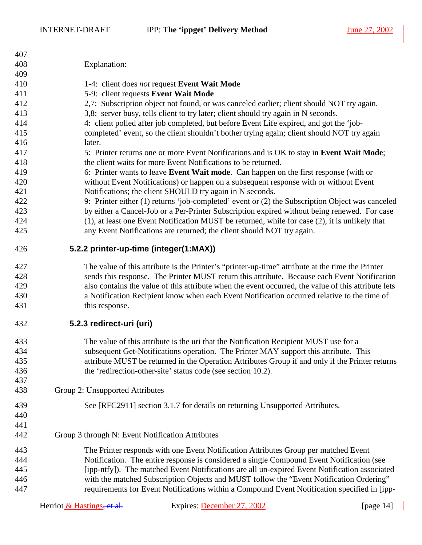<span id="page-13-0"></span>

| 407 |                                                  |                                                                                                                                                           |              |
|-----|--------------------------------------------------|-----------------------------------------------------------------------------------------------------------------------------------------------------------|--------------|
| 408 | Explanation:                                     |                                                                                                                                                           |              |
| 409 |                                                  |                                                                                                                                                           |              |
| 410 |                                                  | 1-4: client does not request Event Wait Mode                                                                                                              |              |
| 411 |                                                  | 5-9: client requests Event Wait Mode                                                                                                                      |              |
| 412 |                                                  | 2,7: Subscription object not found, or was canceled earlier; client should NOT try again.                                                                 |              |
| 413 |                                                  | 3,8: server busy, tells client to try later; client should try again in N seconds.                                                                        |              |
| 414 |                                                  | 4: client polled after job completed, but before Event Life expired, and got the 'job-                                                                    |              |
| 415 |                                                  | completed' event, so the client shouldn't bother trying again; client should NOT try again                                                                |              |
| 416 | later.                                           |                                                                                                                                                           |              |
| 417 |                                                  |                                                                                                                                                           |              |
| 418 |                                                  | 5: Printer returns one or more Event Notifications and is OK to stay in Event Wait Mode;<br>the client waits for more Event Notifications to be returned. |              |
|     |                                                  |                                                                                                                                                           |              |
| 419 |                                                  | 6: Printer wants to leave Event Wait mode. Can happen on the first response (with or                                                                      |              |
| 420 |                                                  | without Event Notifications) or happen on a subsequent response with or without Event                                                                     |              |
| 421 |                                                  | Notifications; the client SHOULD try again in N seconds.                                                                                                  |              |
| 422 |                                                  | 9: Printer either (1) returns 'job-completed' event or (2) the Subscription Object was canceled                                                           |              |
| 423 |                                                  | by either a Cancel-Job or a Per-Printer Subscription expired without being renewed. For case                                                              |              |
| 424 |                                                  | (1), at least one Event Notification MUST be returned, while for case (2), it is unlikely that                                                            |              |
| 425 |                                                  | any Event Notifications are returned; the client should NOT try again.                                                                                    |              |
| 426 | 5.2.2 printer-up-time (integer(1:MAX))           |                                                                                                                                                           |              |
| 427 |                                                  | The value of this attribute is the Printer's "printer-up-time" attribute at the time the Printer                                                          |              |
| 428 |                                                  | sends this response. The Printer MUST return this attribute. Because each Event Notification                                                              |              |
| 429 |                                                  | also contains the value of this attribute when the event occurred, the value of this attribute lets                                                       |              |
| 430 |                                                  | a Notification Recipient know when each Event Notification occurred relative to the time of                                                               |              |
| 431 | this response.                                   |                                                                                                                                                           |              |
|     |                                                  |                                                                                                                                                           |              |
| 432 | 5.2.3 redirect-uri (uri)                         |                                                                                                                                                           |              |
| 433 |                                                  | The value of this attribute is the uri that the Notification Recipient MUST use for a                                                                     |              |
| 434 |                                                  | subsequent Get-Notifications operation. The Printer MAY support this attribute. This                                                                      |              |
| 435 |                                                  | attribute MUST be returned in the Operation Attributes Group if and only if the Printer returns                                                           |              |
| 436 |                                                  | the 'redirection-other-site' status code (see section 10.2).                                                                                              |              |
| 437 |                                                  |                                                                                                                                                           |              |
| 438 | Group 2: Unsupported Attributes                  |                                                                                                                                                           |              |
|     |                                                  |                                                                                                                                                           |              |
| 439 |                                                  | See [RFC2911] section 3.1.7 for details on returning Unsupported Attributes.                                                                              |              |
| 440 |                                                  |                                                                                                                                                           |              |
| 441 |                                                  |                                                                                                                                                           |              |
| 442 | Group 3 through N: Event Notification Attributes |                                                                                                                                                           |              |
| 443 |                                                  | The Printer responds with one Event Notification Attributes Group per matched Event                                                                       |              |
| 444 |                                                  | Notification. The entire response is considered a single Compound Event Notification (see                                                                 |              |
| 445 |                                                  | [ipp-ntfy]). The matched Event Notifications are all un-expired Event Notification associated                                                             |              |
| 446 |                                                  | with the matched Subscription Objects and MUST follow the "Event Notification Ordering"                                                                   |              |
| 447 |                                                  | requirements for Event Notifications within a Compound Event Notification specified in [ipp-                                                              |              |
|     | Herriot $&$ Hastings, et al.                     | Expires: December 27, 2002                                                                                                                                | [page $14$ ] |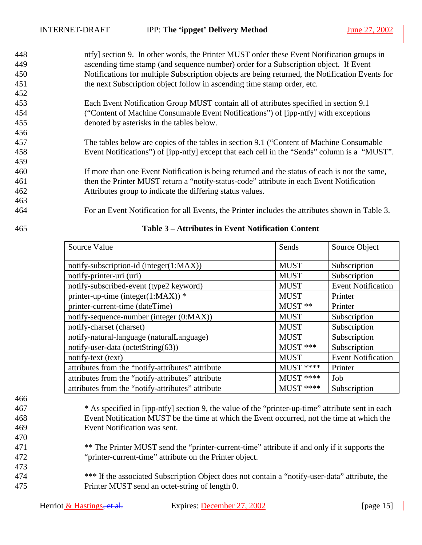- <span id="page-14-0"></span>448 ntfy] section 9. In other words, the Printer MUST order these Event Notification groups in 449 ascending time stamp (and sequence number) order for a Subscription object. If Event 450 Notifications for multiple Subscription objects are being returned, the Notification Events for 451 the next Subscription object follow in ascending time stamp order, etc. 452
- 453 Each Event Notification Group MUST contain all of attributes specified in section 9.1 454 ("Content of Machine Consumable Event Notifications") of [ipp-ntfy] with exceptions 455 denoted by asterisks in the tables below.
- 457 The tables below are copies of the tables in section 9.1 ("Content of Machine Consumable 458 Event Notifications") of [ipp-ntfy] except that each cell in the "Sends" column is a "MUST".
- 460 If more than one Event Notification is being returned and the status of each is not the same, 461 then the Printer MUST return a "notify-status-code" attribute in each Event Notification 462 Attributes group to indicate the differing status values.
- 464 For an Event Notification for all Events, the Printer includes the attributes shown in Table 3.

456

459

| Source Value                                      | Sends       | Source Object             |
|---------------------------------------------------|-------------|---------------------------|
| notify-subscription-id (integer(1:MAX))           | <b>MUST</b> | Subscription              |
| notify-printer-uri (uri)                          | <b>MUST</b> | Subscription              |
| notify-subscribed-event (type2 keyword)           | <b>MUST</b> | <b>Event Notification</b> |
| printer-up-time (integer(1:MAX)) *                | <b>MUST</b> | Printer                   |
| printer-current-time (dateTime)                   | MUST **     | Printer                   |
| notify-sequence-number (integer (0:MAX))          | <b>MUST</b> | Subscription              |
| notify-charset (charset)                          | <b>MUST</b> | Subscription              |
| notify-natural-language (naturalLanguage)         | <b>MUST</b> | Subscription              |
| notify-user-data (octetString(63))                | MUST ***    | Subscription              |
| notify-text (text)                                | <b>MUST</b> | <b>Event Notification</b> |
| attributes from the "notify-attributes" attribute | MUST ****   | Printer                   |
| attributes from the "notify-attributes" attribute | $MUST$ **** | Job                       |
| attributes from the "notify-attributes" attribute | MUST ****   | Subscription              |

### 465 **Table 3 – Attributes in Event Notification Content**

466

470

473

- 467 \* As specified in [ipp-ntfy] section 9, the value of the "printer-up-time" attribute sent in each 468 Event Notification MUST be the time at which the Event occurred, not the time at which the 469 Event Notification was sent.
- <sup>\*\*</sup> The Printer MUST send the "printer-current-time" attribute if and only if it supports the 472 "printer-current-time" attribute on the Printer object.
- 474 \*\*\* If the associated Subscription Object does not contain a "notify-user-data" attribute, the 475 Printer MUST send an octet-string of length 0.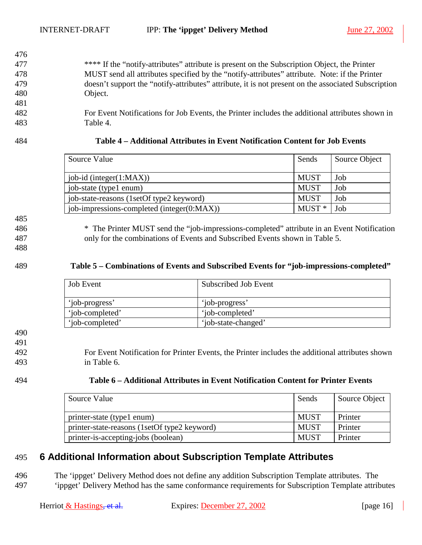- 477 \*\*\*\* If the "notify-attributes" attribute is present on the Subscription Object, the Printer 478 MUST send all attributes specified by the "notify-attributes" attribute. Note: if the Printer 479 doesn't support the "notify-attributes" attribute, it is not present on the associated Subscription 480 Object.
- 482 For Event Notifications for Job Events, the Printer includes the additional attributes shown in 483 Table 4.

<span id="page-15-0"></span>476

#### 484 **Table 4 – Additional Attributes in Event Notification Content for Job Events**

| Source Value                               | Sends       | Source Object |
|--------------------------------------------|-------------|---------------|
| $job-id$ (integer $(1:MAX)$ )              | <b>MUST</b> | Job           |
| job-state (type1 enum)                     | <b>MUST</b> | Job           |
| job-state-reasons (1setOf type2 keyword)   | <b>MUST</b> | Job           |
| job-impressions-completed (integer(0:MAX)) | $MUST*$     | Job           |

485

486 \* The Printer MUST send the "job-impressions-completed" attribute in an Event Notification 487 only for the combinations of Events and Subscribed Events shown in Table 5.

488

#### 489 **Table 5 – Combinations of Events and Subscribed Events for "job-impressions-completed"**

| <b>Job Event</b> | Subscribed Job Event |
|------------------|----------------------|
| 'job-progress'   | 'job-progress'       |
| 'iob-completed'  | 'iob-completed'      |
| 'iob-completed'  | 'job-state-changed'  |

490

491

492 For Event Notification for Printer Events, the Printer includes the additional attributes shown 493 in Table 6.

| 494 | Table 6 – Additional Attributes in Event Notification Content for Printer Events |
|-----|----------------------------------------------------------------------------------|
|-----|----------------------------------------------------------------------------------|

| Source Value                                 | Sends       | Source Object |
|----------------------------------------------|-------------|---------------|
| printer-state (type1 enum)                   | <b>MUST</b> | Printer       |
| printer-state-reasons (1setOf type2 keyword) | MUST        | Printer       |
| printer-is-accepting-jobs (boolean)          | <b>MUST</b> | Printer       |

## 495 **6 Additional Information about Subscription Template Attributes**

496 The 'ippget' Delivery Method does not define any addition Subscription Template attributes. The 497 'ippget' Delivery Method has the same conformance requirements for Subscription Template attributes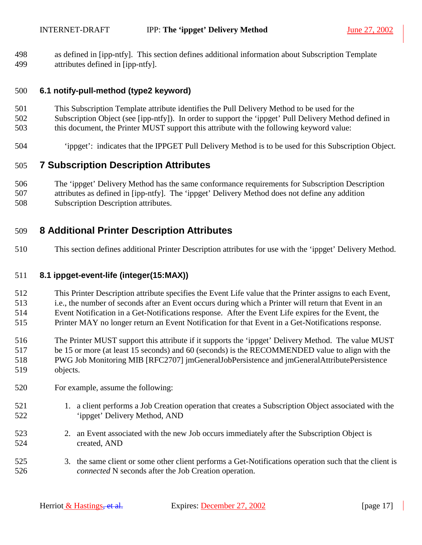<span id="page-16-0"></span>498 as defined in [ipp-ntfy]. This section defines additional information about Subscription Template 499 attributes defined in [ipp-ntfy].

#### 500 **6.1 notify-pull-method (type2 keyword)**

- 501 This Subscription Template attribute identifies the Pull Delivery Method to be used for the
- 502 Subscription Object (see [ipp-ntfy]). In order to support the 'ippget' Pull Delivery Method defined in
- 503 this document, the Printer MUST support this attribute with the following keyword value:
- 504 'ippget': indicates that the IPPGET Pull Delivery Method is to be used for this Subscription Object.

## 505 **7 Subscription Description Attributes**

506 The 'ippget' Delivery Method has the same conformance requirements for Subscription Description 507 attributes as defined in [ipp-ntfy]. The 'ippget' Delivery Method does not define any addition 508 Subscription Description attributes.

## 509 **8 Additional Printer Description Attributes**

510 This section defines additional Printer Description attributes for use with the 'ippget' Delivery Method.

## 511 **8.1 ippget-event-life (integer(15:MAX))**

- 512 This Printer Description attribute specifies the Event Life value that the Printer assigns to each Event,
- 513 i.e., the number of seconds after an Event occurs during which a Printer will return that Event in an
- 514 Event Notification in a Get-Notifications response. After the Event Life expires for the Event, the
- 515 Printer MAY no longer return an Event Notification for that Event in a Get-Notifications response.
- 516 The Printer MUST support this attribute if it supports the 'ippget' Delivery Method. The value MUST 517 be 15 or more (at least 15 seconds) and 60 (seconds) is the RECOMMENDED value to align with the
- 518 PWG Job Monitoring MIB [RFC2707] jmGeneralJobPersistence and jmGeneralAttributePersistence 519 objects.
- 520 For example, assume the following:
- 521 1. a client performs a Job Creation operation that creates a Subscription Object associated with the 522 'ippget' Delivery Method, AND
- 523 2. an Event associated with the new Job occurs immediately after the Subscription Object is 524 created, AND
- 525 3. the same client or some other client performs a Get-Notifications operation such that the client is 526 *connected* N seconds after the Job Creation operation.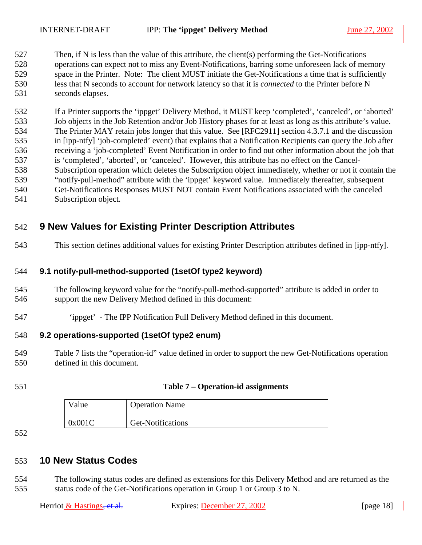<span id="page-17-0"></span>527 Then, if N is less than the value of this attribute, the client(s) performing the Get-Notifications 528 operations can expect not to miss any Event-Notifications, barring some unforeseen lack of memory 529 space in the Printer. Note: The client MUST initiate the Get-Notifications a time that is sufficiently 530 less that N seconds to account for network latency so that it is *connected* to the Printer before N 531 seconds elapses.

532 If a Printer supports the 'ippget' Delivery Method, it MUST keep 'completed', 'canceled', or 'aborted' 533 Job objects in the Job Retention and/or Job History phases for at least as long as this attribute's value. 534 The Printer MAY retain jobs longer that this value. See [RFC2911] section 4.3.7.1 and the discussion 535 in [ipp-ntfy] 'job-completed' event) that explains that a Notification Recipients can query the Job after 536 receiving a 'job-completed' Event Notification in order to find out other information about the job that 537 is 'completed', 'aborted', or 'canceled'. However, this attribute has no effect on the Cancel-538 Subscription operation which deletes the Subscription object immediately, whether or not it contain the 539 "notify-pull-method" attribute with the 'ippget' keyword value. Immediately thereafter, subsequent 540 Get-Notifications Responses MUST NOT contain Event Notifications associated with the canceled 541 Subscription object.

## 542 **9 New Values for Existing Printer Description Attributes**

543 This section defines additional values for existing Printer Description attributes defined in [ipp-ntfy].

#### 544 **9.1 notify-pull-method-supported (1setOf type2 keyword)**

- 545 The following keyword value for the "notify-pull-method-supported" attribute is added in order to 546 support the new Delivery Method defined in this document:
- 547 'ippget' The IPP Notification Pull Delivery Method defined in this document.

#### 548 **9.2 operations-supported (1setOf type2 enum)**

- 549 Table 7 lists the "operation-id" value defined in order to support the new Get-Notifications operation 550 defined in this document.
- 

#### 551 **Table 7 – Operation-id assignments**

| Value  | <b>Operation Name</b> |
|--------|-----------------------|
| 0x001C | Get-Notifications     |

552

## 553 **10 New Status Codes**

554 The following status codes are defined as extensions for this Delivery Method and are returned as the 555 status code of the Get-Notifications operation in Group 1 or Group 3 to N.

| Herriot & Hastings, et al. |  |  |  |  |
|----------------------------|--|--|--|--|
|----------------------------|--|--|--|--|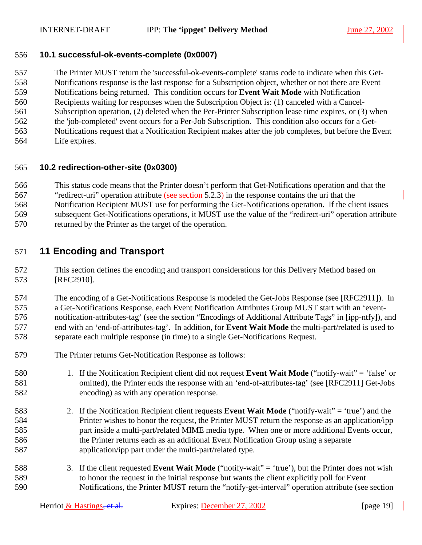#### <span id="page-18-0"></span>556 **10.1 successful-ok-events-complete (0x0007)**

557 The Printer MUST return the 'successful-ok-events-complete' status code to indicate when this Get-558 Notifications response is the last response for a Subscription object, whether or not there are Event 559 Notifications being returned. This condition occurs for **Event Wait Mode** with Notification 560 Recipients waiting for responses when the Subscription Object is: (1) canceled with a Cancel-561 Subscription operation, (2) deleted when the Per-Printer Subscription lease time expires, or (3) when 562 the 'job-completed' event occurs for a Per-Job Subscription. This condition also occurs for a Get-563 Notifications request that a Notification Recipient makes after the job completes, but before the Event

564 Life expires.

#### 565 **10.2 redirection-other-site (0x0300)**

566 This status code means that the Printer doesn't perform that Get-Notifications operation and that the

- 567 "redirect-uri" operation attribute (see section [5.2.3\)](#page-13-0) in the response contains the uri that the 568 Notification Recipient MUST use for performing the Get-Notifications operation. If the client issues
- 569 subsequent Get-Notifications operations, it MUST use the value of the "redirect-uri" operation attribute
- 570 returned by the Printer as the target of the operation.

## 571 **11 Encoding and Transport**

572 This section defines the encoding and transport considerations for this Delivery Method based on 573 [RFC2910].

574 The encoding of a Get-Notifications Response is modeled the Get-Jobs Response (see [RFC2911]). In 575 a Get-Notifications Response, each Event Notification Attributes Group MUST start with an 'event-576 notification-attributes-tag' (see the section "Encodings of Additional Attribute Tags" in [ipp-ntfy]), and 577 end with an 'end-of-attributes-tag'. In addition, for **Event Wait Mode** the multi-part/related is used to 578 separate each multiple response (in time) to a single Get-Notifications Request.

- 579 The Printer returns Get-Notification Response as follows:
- 580 1. If the Notification Recipient client did not request **Event Wait Mode** ("notify-wait" = 'false' or 581 omitted), the Printer ends the response with an 'end-of-attributes-tag' (see [RFC2911] Get-Jobs 582 encoding) as with any operation response.
- 583 2. If the Notification Recipient client requests **Event Wait Mode** ("notify-wait" = 'true') and the 584 Printer wishes to honor the request, the Printer MUST return the response as an application/ipp 585 part inside a multi-part/related MIME media type. When one or more additional Events occur, 586 the Printer returns each as an additional Event Notification Group using a separate 587 application/ipp part under the multi-part/related type.
- 588 3. If the client requested **Event Wait Mode** ("notify-wait" = 'true'), but the Printer does not wish 589 to honor the request in the initial response but wants the client explicitly poll for Event 590 Notifications, the Printer MUST return the "notify-get-interval" operation attribute (see section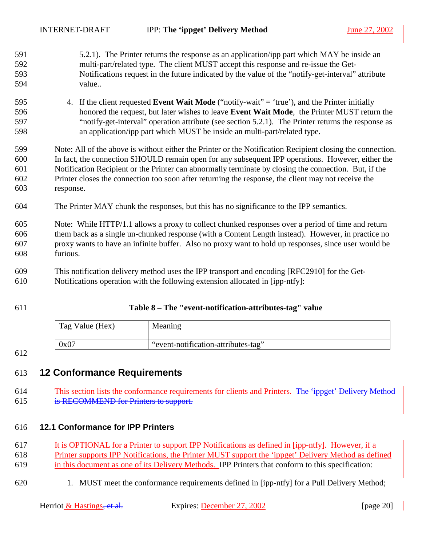<span id="page-19-0"></span>

| 591 | 5.2.1). The Printer returns the response as an application/ipp part which MAY be inside an                 |
|-----|------------------------------------------------------------------------------------------------------------|
| 592 | multi-part/related type. The client MUST accept this response and re-issue the Get-                        |
| 593 | Notifications request in the future indicated by the value of the "notify-get-interval" attribute          |
| 594 | value                                                                                                      |
| 595 | If the client requested Event Wait Mode ("notify-wait" = 'true'), and the Printer initially<br>4.          |
| 596 | honored the request, but later wishes to leave Event Wait Mode, the Printer MUST return the                |
| 597 | "notify-get-interval" operation attribute (see section 5.2.1). The Printer returns the response as         |
| 598 | an application/ipp part which MUST be inside an multi-part/related type.                                   |
| 599 | Note: All of the above is without either the Printer or the Notification Recipient closing the connection. |
| 600 | In fact, the connection SHOULD remain open for any subsequent IPP operations. However, either the          |
| 601 | Notification Recipient or the Printer can abnormally terminate by closing the connection. But, if the      |
| 602 | Printer closes the connection too soon after returning the response, the client may not receive the        |
| 603 | response.                                                                                                  |
| 604 | The Printer MAY chunk the responses, but this has no significance to the IPP semantics.                    |
| 605 | Note: While HTTP/1.1 allows a proxy to collect chunked responses over a period of time and return          |
| 606 | them back as a single un-chunked response (with a Content Length instead). However, in practice no         |
| 607 | proxy wants to have an infinite buffer. Also no proxy want to hold up responses, since user would be       |
| 608 | furious.                                                                                                   |
| 609 | This notification delivery method uses the IPP transport and encoding [RFC2910] for the Get-               |
|     |                                                                                                            |

- 610 Notifications operation with the following extension allocated in [ipp-ntfy]:
- 

### 611 **Table 8 – The "event-notification-attributes-tag" value**

| Tag Value (Hex) | Meaning                             |
|-----------------|-------------------------------------|
| 0x07            | "event-notification-attributes-tag" |

#### 612

## 613 **12 Conformance Requirements**

614 This section lists the conformance requirements for clients and Printers. The 'ippget' Delivery Method 615 is RECOMMEND for Printers to support.

### 616 **12.1 Conformance for IPP Printers**

617 It is OPTIONAL for a Printer to support IPP Notifications as defined in [ipp-ntfy]. However, if a

618 Printer supports IPP Notifications, the Printer MUST support the 'ippget' Delivery Method as defined 619 in this document as one of its Delivery Methods. IPP Printers that conform to this specification:

620 1. MUST meet the conformance requirements defined in [ipp-ntfy] for a Pull Delivery Method;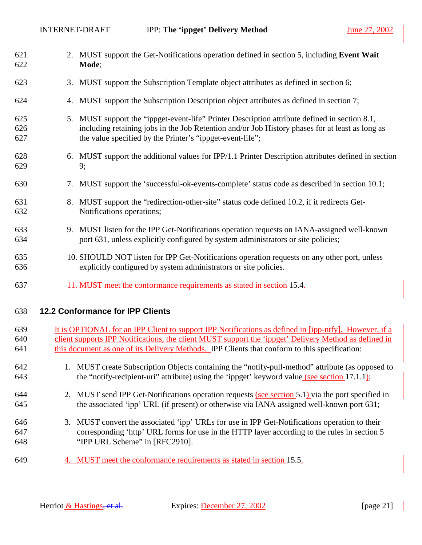<span id="page-20-0"></span>

| 621<br>622        |    | 2. MUST support the Get-Notifications operation defined in section 5, including Event Wait<br>Mode;                                                                                                                                                        |
|-------------------|----|------------------------------------------------------------------------------------------------------------------------------------------------------------------------------------------------------------------------------------------------------------|
| 623               | 3. | MUST support the Subscription Template object attributes as defined in section 6;                                                                                                                                                                          |
| 624               | 4. | MUST support the Subscription Description object attributes as defined in section 7;                                                                                                                                                                       |
| 625<br>626<br>627 | 5. | MUST support the "ippget-event-life" Printer Description attribute defined in section 8.1,<br>including retaining jobs in the Job Retention and/or Job History phases for at least as long as<br>the value specified by the Printer's "ippget-event-life"; |
| 628<br>629        | 6. | MUST support the additional values for IPP/1.1 Printer Description attributes defined in section<br>9;                                                                                                                                                     |
| 630               | 7. | MUST support the 'successful-ok-events-complete' status code as described in section 10.1;                                                                                                                                                                 |
| 631<br>632        | 8. | MUST support the "redirection-other-site" status code defined 10.2, if it redirects Get-<br>Notifications operations;                                                                                                                                      |
| 633<br>634        |    | 9. MUST listen for the IPP Get-Notifications operation requests on IANA-assigned well-known<br>port 631, unless explicitly configured by system administrators or site policies;                                                                           |
| 635<br>636        |    | 10. SHOULD NOT listen for IPP Get-Notifications operation requests on any other port, unless<br>explicitly configured by system administrators or site policies.                                                                                           |
| 637               |    | 11. MUST meet the conformance requirements as stated in section 15.4.                                                                                                                                                                                      |

#### 638 **12.2 Conformance for IPP Clients**

- 639 It is OPTIONAL for an IPP Client to support IPP Notifications as defined in [ipp-ntfy]. However, if a 640 client supports IPP Notifications, the client MUST support the 'ippget' Delivery Method as defined in 641 this document as one of its Delivery Methods. IPP Clients that conform to this specification:
- 642 1. MUST create Subscription Objects containing the "notify-pull-method" attribute (as opposed to 643 the "notify-recipient-uri" attribute) using the 'ippget' keyword value (see section [17.1.1\)](#page-25-0);
- 644 2. MUST send IPP Get-Notifications operation requests (see section [5.1\)](#page-8-0) via the port specified in 645 the associated 'ipp' URL (if present) or otherwise via IANA assigned well-known port 631;
- 646 3. MUST convert the associated 'ipp' URLs for use in IPP Get-Notifications operation to their 647 corresponding 'http' URL forms for use in the HTTP layer according to the rules in section 5 648 "IPP URL Scheme" in [RFC2910].
- 649 4. MUST meet the conformance requirements as stated in section [15.5.](#page-24-0)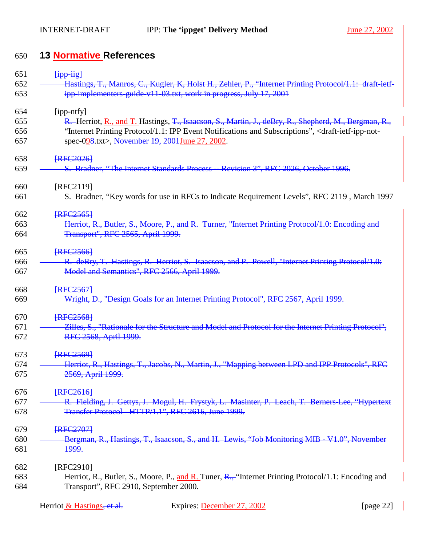# <span id="page-21-0"></span>650 **13 Normative References**

| 651 | <b>Fipp-jigl</b>                                                                                                                 |
|-----|----------------------------------------------------------------------------------------------------------------------------------|
| 652 | Hastings, T., Manros, C., Kugler, K. Holst H., Zehler, P., "Internet Printing Protocol/1.1: draft-ietf-                          |
| 653 | ipp-implementers-guide-v11-03.txt, work in progress, July 17, 2001                                                               |
| 654 | [ipp-ntfy]                                                                                                                       |
| 655 | R. Herriot, R., and T. Hastings, T., Isaacson, S., Martin, J., deBry, R., Shepherd, M., Bergman, R.,                             |
| 656 | "Internet Printing Protocol/1.1: IPP Event Notifications and Subscriptions", <draft-ietf-ipp-not-< td=""></draft-ietf-ipp-not-<> |
| 657 | spec-028.txt>, November 19, 2001June 27, 2002.                                                                                   |
| 658 | <b>FRFC2026</b>                                                                                                                  |
| 659 | S. Bradner, "The Internet Standards Process - Revision 3", RFC 2026, October 1996.                                               |
| 660 | [RFC2119]                                                                                                                        |
| 661 | S. Bradner, "Key words for use in RFCs to Indicate Requirement Levels", RFC 2119, March 1997                                     |
| 662 | <b>FRFC25651</b>                                                                                                                 |
| 663 | Herriot, R., Butler, S., Moore, P., and R. Turner, "Internet Printing Protocol/1.0: Encoding and                                 |
| 664 | Transport", RFC 2565, April 1999.                                                                                                |
| 665 | <b>FRFC25661</b>                                                                                                                 |
| 666 | R. deBry, T. Hastings, R. Herriot, S. Isaacson, and P. Powell, "Internet Printing Protocol/1.0:                                  |
| 667 | Model and Semantics", RFC 2566, April 1999.                                                                                      |
| 668 | <b>FRFC25671</b>                                                                                                                 |
| 669 | Wright, D., "Design Goals for an Internet Printing Protocol", RFC 2567, April 1999.                                              |
| 670 | <b>FRFC25681</b>                                                                                                                 |
| 671 | <b>Zilles, S., "Rationale for the Structure and Model and Protocol for the Internet Printing Protocol",</b>                      |
| 672 | RFC 2568, April 1999.                                                                                                            |
| 673 | <b>FRFC25691</b>                                                                                                                 |
| 674 | Herriot, R., Hastings, T., Jacobs, N., Martin, J., "Mapping between LPD and IPP Prot                                             |
| 675 | 2569, April 1999.                                                                                                                |
| 676 | <b>FRFC26161</b>                                                                                                                 |
| 677 | R. Fielding, J. Gettys, J. Mogul, H. Frystyk, L. Masinter, P. Leach, T. Berners-Lee, "Hypertext                                  |
| 678 | Transfer Protocol - HTTP/1.1", RFC 2616, June 1999.                                                                              |
| 679 | <b>FRFC27071</b>                                                                                                                 |
| 680 | Bergman, R., Hastings, T., Isaacson, S., and H. Lewis, "Job Monitoring MIB - V1.0", November                                     |
| 681 | <del>1999.</del>                                                                                                                 |
| 682 | [RFC2910]                                                                                                                        |
| 683 | Herriot, R., Butler, S., Moore, P., and R. Tuner, R., "Internet Printing Protocol/1.1: Encoding and                              |
| 684 | Transport", RFC 2910, September 2000.                                                                                            |

| Herriot & Hastings, et al. |  |
|----------------------------|--|
|----------------------------|--|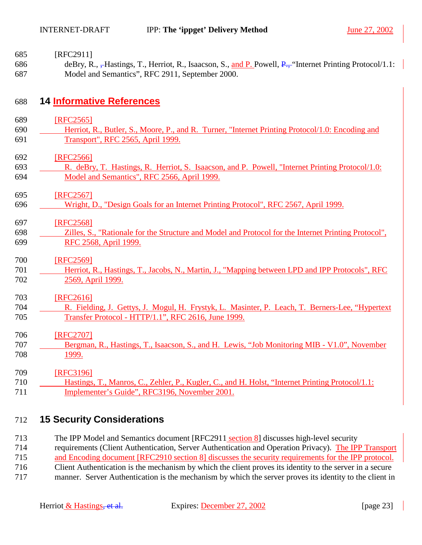- <span id="page-22-0"></span>685 [RFC2911]
- 686 deBry, R., <del>, H</del>astings, T., Herriot, R., Isaacson, S., and P. Powell, P., "Internet Printing Protocol/1.1: 687 Model and Semantics", RFC 2911, September 2000.

## 688 **14 Informative References**

- 689 [RFC2565]
- 690 Herriot, R., Butler, S., Moore, P., and R. Turner, "Internet Printing Protocol/1.0: Encoding and 691 Transport", RFC 2565, April 1999.
- 692 [RFC2566]
- 693 R. deBry, T. Hastings, R. Herriot, S. Isaacson, and P. Powell, "Internet Printing Protocol/1.0: 694 Model and Semantics", RFC 2566, April 1999.

695 [RFC2567]

- 696 Wright, D., "Design Goals for an Internet Printing Protocol", RFC 2567, April 1999.
- 697 [RFC2568]
- 698 Zilles, S., "Rationale for the Structure and Model and Protocol for the Internet Printing Protocol", 699 RFC 2568, April 1999.
- 700 **[RFC2569]**
- 701 Herriot, R., Hastings, T., Jacobs, N., Martin, J., "Mapping between LPD and IPP Protocols", RFC 702 2569, April 1999.

#### 703 [RFC2616]

- 704 R. Fielding, J. Gettys, J. Mogul, H. Frystyk, L. Masinter, P. Leach, T. Berners-Lee, "Hypertext 705 Transfer Protocol - HTTP/1.1", RFC 2616, June 1999.
- 706 [RFC2707]
- 707 Bergman, R., Hastings, T., Isaacson, S., and H. Lewis, "Job Monitoring MIB V1.0", November 708 1999.
- 709 **[RFC3196]** 710 Hastings, T., Manros, C., Zehler, P., Kugler, C., and H. Holst, "Internet Printing Protocol/1.1: 711 Implementer's Guide", RFC3196, November 2001.

## 712 **15 Security Considerations**

- 713 The IPP Model and Semantics document [RFC2911 section 8] discusses high-level security
- 714 requirements (Client Authentication, Server Authentication and Operation Privacy). The IPP Transport
- 715 and Encoding document [RFC2910 section 8] discusses the security requirements for the IPP protocol.
- 716 Client Authentication is the mechanism by which the client proves its identity to the server in a secure
- 717 manner. Server Authentication is the mechanism by which the server proves its identity to the client in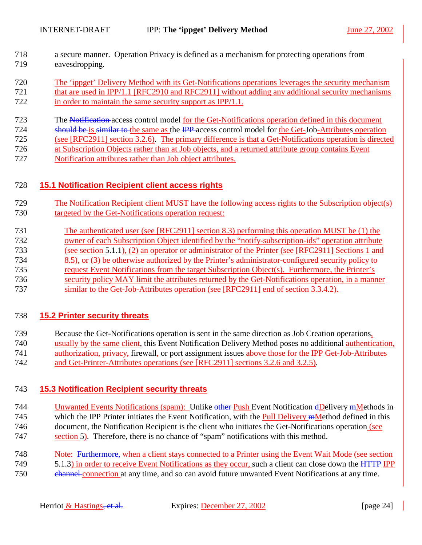- <span id="page-23-0"></span>718 a secure manner. Operation Privacy is defined as a mechanism for protecting operations from 719 eavesdropping.
- 720 The 'ippget' Delivery Method with its Get-Notifications operations leverages the security mechanism
- 721 that are used in IPP/1.1 [RFC2910 and RFC2911] without adding any additional security mechanisms 722 in order to maintain the same security support as IPP/1.1.
- 723 The Notification access control model for the Get-Notifications operation defined in this document
- 724 should be is similar to the same as the IPP access control model for the Get-Job-Attributes operation
- 725 (see [RFC2911] section 3.2.6). The primary difference is that a Get-Notifications operation is directed
- 726 at Subscription Objects rather than at Job objects, and a returned attribute group contains Event
- 727 Notification attributes rather than Job object attributes.

## 728 **15.1 Notification Recipient client access rights**

- 729 The Notification Recipient client MUST have the following access rights to the Subscription object(s) 730 targeted by the Get-Notifications operation request:
- 731 The authenticated user (see [RFC2911] section 8.3) performing this operation MUST be (1) the
- 732 owner of each Subscription Object identified by the "notify-subscription-ids" operation attribute
- 733 (see section [5.1.1\)](#page-8-0), (2) an operator or administrator of the Printer (see [RFC2911] Sections 1 and
- 734 8.5), or (3) be otherwise authorized by the Printer's administrator-configured security policy to
- 735 request Event Notifications from the target Subscription Object(s). Furthermore, the Printer's
- 736 security policy MAY limit the attributes returned by the Get-Notifications operation, in a manner
- 737 similar to the Get-Job-Attributes operation (see [RFC2911] end of section 3.3.4.2).

## 738 **15.2 Printer security threats**

- 739 Because the Get-Notifications operation is sent in the same direction as Job Creation operations,
- 740 usually by the same client, this Event Notification Delivery Method poses no additional authentication,
- 741 authorization, privacy, firewall, or port assignment issues above those for the IPP Get-Job-Attributes
- 742 and Get-Printer-Attributes operations (see [RFC2911] sections 3.2.6 and 3.2.5).

## 743 **15.3 Notification Recipient security threats**

- 744 Unwanted Events Notifications (spam): Unlike other Push Event Notification dDelivery mMethods in 745 which the IPP Printer initiates the Event Notification, with the Pull Delivery mMethod defined in this
- 746 document, the Notification Recipient is the client who initiates the Get-Notifications operation (see 747 section [5\)](#page-7-0). Therefore, there is no chance of "spam" notifications with this method.
- 748 Note: Furthermore, when a client stays connected to a Printer using the Event Wait Mode (see section
- 749 [5.1.3\)](#page-9-0) in order to receive Event Notifications as they occur, such a client can close down the  $\overline{HTTP}$  IPP
- 750 channel connection at any time, and so can avoid future unwanted Event Notifications at any time.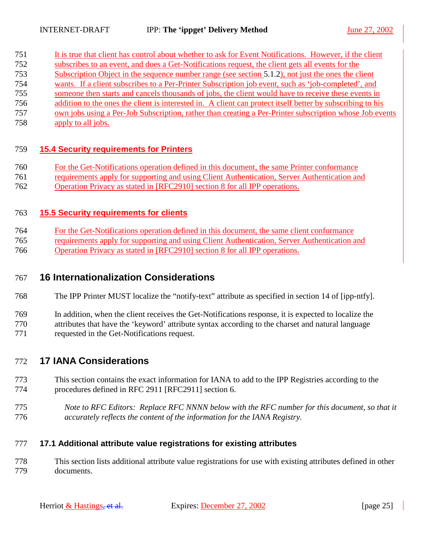<span id="page-24-0"></span>

| 751 | It is true that client has control about whether to ask for Event Notifications. However, if the client    |
|-----|------------------------------------------------------------------------------------------------------------|
| 752 | subscribes to an event, and does a Get-Notifications request, the client gets all events for the           |
| 753 | Subscription Object in the sequence number range (see section 5.1.2), not just the ones the client         |
| 754 | wants. If a client subscribes to a Per-Printer Subscription job event, such as 'job-completed', and        |
| 755 | someone then starts and cancels thousands of jobs, the client would have to receive these events in        |
| 756 | addition to the ones the client is interested in. A client can protect itself better by subscribing to his |
| 757 | own jobs using a Per-Job Subscription, rather than creating a Per-Printer subscription whose Job events    |

758 apply to all jobs.

#### 759 **15.4 Security requirements for Printers**

- 760 For the Get-Notifications operation defined in this document, the same Printer conformance
- 761 requirements apply for supporting and using Client Authentication, Server Authentication and 762 Operation Privacy as stated in [RFC2910] section 8 for all IPP operations.

#### 763 **15.5 Security requirements for clients**

- 764 For the Get-Notifications operation defined in this document, the same client conformance
- 765 requirements apply for supporting and using Client Authentication, Server Authentication and 766 Operation Privacy as stated in [RFC2910] section 8 for all IPP operations.

## 767 **16 Internationalization Considerations**

- 768 The IPP Printer MUST localize the "notify-text" attribute as specified in section 14 of [ipp-ntfy].
- 769 In addition, when the client receives the Get-Notifications response, it is expected to localize the 770 attributes that have the 'keyword' attribute syntax according to the charset and natural language 771 requested in the Get-Notifications request.

### 772 **17 IANA Considerations**

- 773 This section contains the exact information for IANA to add to the IPP Registries according to the 774 procedures defined in RFC 2911 [RFC2911] section 6.
- 775 *Note to RFC Editors: Replace RFC NNNN below with the RFC number for this document, so that it*  776 *accurately reflects the content of the information for the IANA Registry.*

#### 777 **17.1 Additional attribute value registrations for existing attributes**

778 This section lists additional attribute value registrations for use with existing attributes defined in other 779 documents.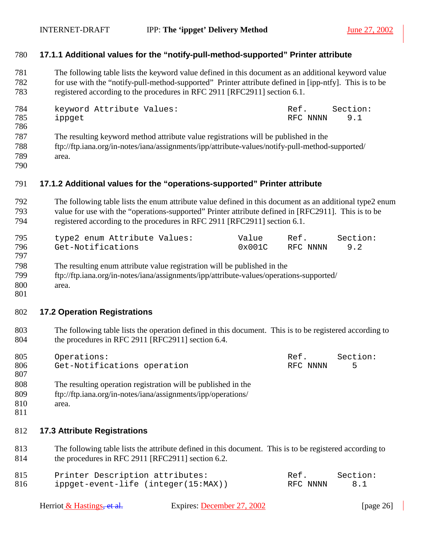#### <span id="page-25-0"></span>780 **17.1.1 Additional values for the "notify-pull-method-supported" Printer attribute**

781 The following table lists the keyword value defined in this document as an additional keyword value 782 for use with the "notify-pull-method-supported" Printer attribute defined in [ipp-ntfy]. This is to be 783 registered according to the procedures in RFC 2911 [RFC2911] section 6.1.

| 784 | keyword Attribute Values:                                                                                                                                                                                                         | Ref.         | Section: |
|-----|-----------------------------------------------------------------------------------------------------------------------------------------------------------------------------------------------------------------------------------|--------------|----------|
| 785 | ippget                                                                                                                                                                                                                            | RFC NNNN 9.1 |          |
| 786 |                                                                                                                                                                                                                                   |              |          |
| 707 | $\mathbf{r}$ , and the contract of the contract of the contract of the contract of the contract of the contract of the contract of the contract of the contract of the contract of the contract of the contract of the contract o |              |          |

- 787 The resulting keyword method attribute value registrations will be published in the 788 ftp://ftp.iana.org/in-notes/iana/assignments/ipp/attribute-values/notify-pull-method-supported/
- 789 area.
- 790

### 791 **17.1.2 Additional values for the "operations-supported" Printer attribute**

792 The following table lists the enum attribute value defined in this document as an additional type2 enum 793 value for use with the "operations-supported" Printer attribute defined in [RFC2911]. This is to be 794 registered according to the procedures in RFC 2911 [RFC2911] section 6.1.

| 795 | type2 enum Attribute Values: | Value  | Ref.         | Section: |
|-----|------------------------------|--------|--------------|----------|
| 796 | Get-Notifications            | 0x001C | RFC NNNN 9.2 |          |
| 797 |                              |        |              |          |

- 798 The resulting enum attribute value registration will be published in the 799 ftp://ftp.iana.org/in-notes/iana/assignments/ipp/attribute-values/operations-supported/ 800 area.
- 801

#### 802 **17.2 Operation Registrations**

803 The following table lists the operation defined in this document. This is to be registered according to 804 the procedures in RFC 2911 [RFC2911] section 6.4.

| 805 | Operations:                 | Ref.     | Section: |
|-----|-----------------------------|----------|----------|
| 806 | Get-Notifications operation | RFC NNNN |          |
| 807 |                             |          |          |

- 808 The resulting operation registration will be published in the
- 809 ftp://ftp.iana.org/in-notes/iana/assignments/ipp/operations/
- 810 area.
- 811

#### 812 **17.3 Attribute Registrations**

813 The following table lists the attribute defined in this document. This is to be registered according to 814 the procedures in RFC 2911 [RFC2911] section 6.2.

| 815 | Printer Description attributes:     | Ref.     | Section: |
|-----|-------------------------------------|----------|----------|
| 816 | ippget-event-life (integer(15:MAX)) | RFC NNNN | 8.1      |

| Expires: December 27, 2002<br>Herriot & Hastings <del>, et al.</del> | [page $26$ ] |
|----------------------------------------------------------------------|--------------|
|----------------------------------------------------------------------|--------------|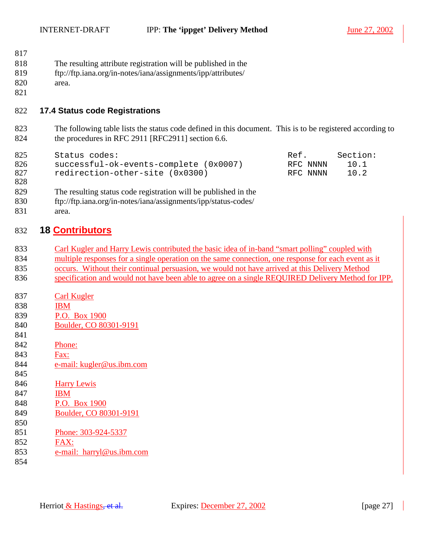#### <span id="page-26-0"></span>INTERNET-DRAFT IPP: **The 'ippget' Delivery Method** June 27, 2002

| 817 |                                                               |
|-----|---------------------------------------------------------------|
| 818 | The resulting attribute registration will be published in the |
| 819 | ftp://ftp.iana.org/in-notes/iana/assignments/ipp/attributes/  |
| 820 | area.                                                         |

- 822 **17.4 Status code Registrations**
- 823 The following table lists the status code defined in this document. This is to be registered according to 824 the procedures in RFC 2911 [RFC2911] section 6.6.

| 825<br>826<br>827<br>828 | Status codes:<br>successful-ok-events-complete (0x0007)<br>redirection-other-site (0x0300)                                                 | Ref.<br>RFC NNNN<br>RFC NNNN | Section:<br>10.1<br>10.2 |
|--------------------------|--------------------------------------------------------------------------------------------------------------------------------------------|------------------------------|--------------------------|
| 829<br>830<br>831        | The resulting status code registration will be published in the<br>ftp://ftp.iana.org/in-notes/iana/assignments/ipp/status-codes/<br>area. |                              |                          |

## 832 **18 Contributors**

| 833 | Carl Kugler and Harry Lewis contributed the basic idea of in-band "smart polling" coupled with      |
|-----|-----------------------------------------------------------------------------------------------------|
| 834 | multiple responses for a single operation on the same connection, one response for each event as it |

- 835 occurs. Without their continual persuasion, we would not have arrived at this Delivery Method 836 specification and would not have been able to agree on a single REQUIRED Delivery Method for IPP.
- 837 Carl Kugler
- 838 IBM
- 839 P.O. Box 1900
- 840 Boulder, CO 80301-9191
- 841

821

- 842 Phone:
- 843 Fax:
- 844 e-mail: kugler@us.ibm.com
- 845
- 846 Harry Lewis
- 847 IBM
- 848 P.O. Box 1900
- 849 Boulder, CO 80301-9191 850
- 851 Phone: 303-924-5337
- 852 FAX:
- 853 e-mail: harryl@us.ibm.com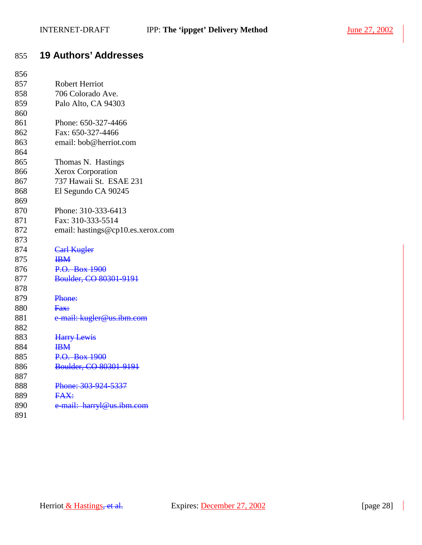## <span id="page-27-0"></span>855 **19 Authors' Addresses**

| 856 |                                   |
|-----|-----------------------------------|
| 857 | <b>Robert Herriot</b>             |
| 858 | 706 Colorado Ave.                 |
| 859 | Palo Alto, CA 94303               |
| 860 |                                   |
| 861 | Phone: 650-327-4466               |
| 862 | Fax: 650-327-4466                 |
| 863 | email: bob@herriot.com            |
| 864 |                                   |
| 865 | Thomas N. Hastings                |
| 866 | <b>Xerox Corporation</b>          |
| 867 | 737 Hawaii St. ESAE 231           |
| 868 | El Segundo CA 90245               |
| 869 |                                   |
| 870 | Phone: 310-333-6413               |
| 871 | Fax: 310-333-5514                 |
| 872 | email: hastings@cp10.es.xerox.com |
| 873 |                                   |
| 874 | Carl Kugler                       |
| 875 | <b>IBM</b>                        |
| 876 | P.O. Box 1900                     |
| 877 | Boulder, CO 80301-9191            |
| 878 |                                   |
| 879 | Phone:                            |
| 880 | Fax:                              |
| 881 | e-mail: kugler@us.ibm.com         |
| 882 |                                   |
| 883 | <b>Harry Lewis</b>                |
| 884 | $\mathbf{H}$                      |
| 885 | P.O. Box 1900                     |
| 886 | Boulder, CO 80301-9191            |
| 887 |                                   |
| 888 | Phone: 303-924-5337               |
| 889 | FAX:                              |
| 890 | e-mail: harryl@us.ibm.com         |
| 891 |                                   |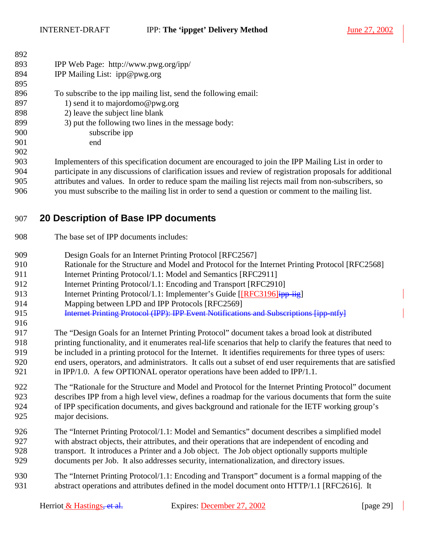<span id="page-28-0"></span>INTERNET-DRAFT **IPP:** The 'ippget' Delivery Method June 27, 2002

| 892 |                                                                                                            |
|-----|------------------------------------------------------------------------------------------------------------|
| 893 | IPP Web Page: http://www.pwg.org/ipp/                                                                      |
| 894 | IPP Mailing List: ipp@pwg.org                                                                              |
| 895 |                                                                                                            |
| 896 | To subscribe to the ipp mailing list, send the following email:                                            |
| 897 | 1) send it to majordomo@pwg.org                                                                            |
| 898 | 2) leave the subject line blank                                                                            |
| 899 | 3) put the following two lines in the message body:                                                        |
| 900 | subscribe ipp                                                                                              |
| 901 | end                                                                                                        |
| 902 |                                                                                                            |
| 903 | Implementers of this specification document are encouraged to join the IPP Mailing List in order to        |
| 904 | participate in any discussions of clarification issues and review of registration proposals for additional |
| 905 | attributes and values. In order to reduce spam the mailing list rejects mail from non-subscribers, so      |

## 906 you must subscribe to the mailing list in order to send a question or comment to the mailing list.

## 907 **20 Description of Base IPP documents**

- 908 The base set of IPP documents includes:
- 909 Design Goals for an Internet Printing Protocol [RFC2567]
- 910 Rationale for the Structure and Model and Protocol for the Internet Printing Protocol [RFC2568]
- 911 Internet Printing Protocol/1.1: Model and Semantics [RFC2911]
- 912 Internet Printing Protocol/1.1: Encoding and Transport [RFC2910]
- 913 Internet Printing Protocol/1.1: Implementer's Guide [[RFC3196] $\frac{1}{1}$
- 914 Mapping between LPD and IPP Protocols [RFC2569]
- 915 **Internet Printing Protocol (IPP): IPP Event Notifications and Subscriptions [ipp-ntfy]**
- 916

917 The "Design Goals for an Internet Printing Protocol" document takes a broad look at distributed 918 printing functionality, and it enumerates real-life scenarios that help to clarify the features that need to 919 be included in a printing protocol for the Internet. It identifies requirements for three types of users: 920 end users, operators, and administrators. It calls out a subset of end user requirements that are satisfied 921 in IPP/1.0. A few OPTIONAL operator operations have been added to IPP/1.1.

922 The "Rationale for the Structure and Model and Protocol for the Internet Printing Protocol" document 923 describes IPP from a high level view, defines a roadmap for the various documents that form the suite 924 of IPP specification documents, and gives background and rationale for the IETF working group's 925 major decisions.

- 926 The "Internet Printing Protocol/1.1: Model and Semantics" document describes a simplified model 927 with abstract objects, their attributes, and their operations that are independent of encoding and 928 transport. It introduces a Printer and a Job object. The Job object optionally supports multiple 929 documents per Job. It also addresses security, internationalization, and directory issues.
- 930 The "Internet Printing Protocol/1.1: Encoding and Transport" document is a formal mapping of the 931 abstract operations and attributes defined in the model document onto HTTP/1.1 [RFC2616]. It